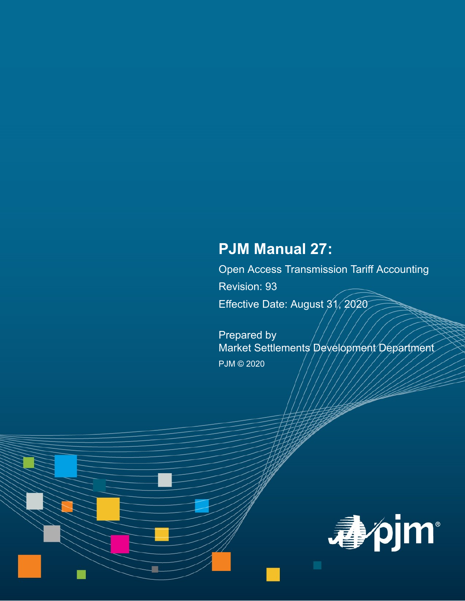# **PJM Manual 27:**

Open Access Transmission Tariff Accounting

Revision: 93

Effective Date: August 31, 2020

Prepared by Market Settlements Development Department PJM © 2020

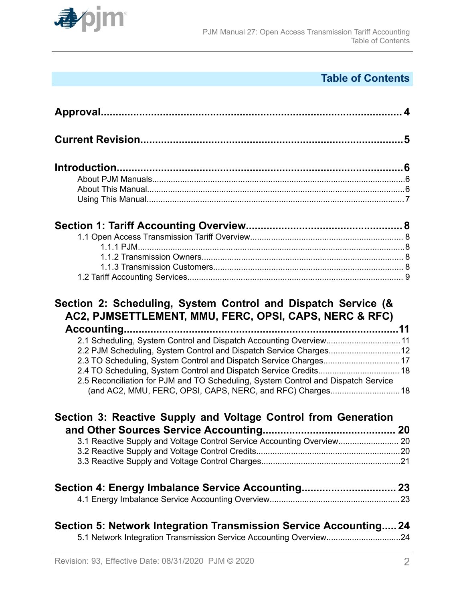

# **Table of Contents**

| 2.1 Scheduling, System Control and Dispatch Accounting Overview11<br>2.2 PJM Scheduling, System Control and Dispatch Service Charges12<br>2.3 TO Scheduling, System Control and Dispatch Service Charges 17<br>2.4 TO Scheduling, System Control and Dispatch Service Credits 18<br>2.5 Reconciliation for PJM and TO Scheduling, System Control and Dispatch Service<br>(and AC2, MMU, FERC, OPSI, CAPS, NERC, and RFC) Charges 18 |  |
|-------------------------------------------------------------------------------------------------------------------------------------------------------------------------------------------------------------------------------------------------------------------------------------------------------------------------------------------------------------------------------------------------------------------------------------|--|
| Section 3: Reactive Supply and Voltage Control from Generation                                                                                                                                                                                                                                                                                                                                                                      |  |
|                                                                                                                                                                                                                                                                                                                                                                                                                                     |  |
| 3.1 Reactive Supply and Voltage Control Service Accounting Overview 20                                                                                                                                                                                                                                                                                                                                                              |  |
|                                                                                                                                                                                                                                                                                                                                                                                                                                     |  |
|                                                                                                                                                                                                                                                                                                                                                                                                                                     |  |
| Section 4: Energy Imbalance Service Accounting 23                                                                                                                                                                                                                                                                                                                                                                                   |  |
|                                                                                                                                                                                                                                                                                                                                                                                                                                     |  |
| Section 5: Network Integration Transmission Service Accounting 24<br>5.1 Network Integration Transmission Service Accounting Overview24                                                                                                                                                                                                                                                                                             |  |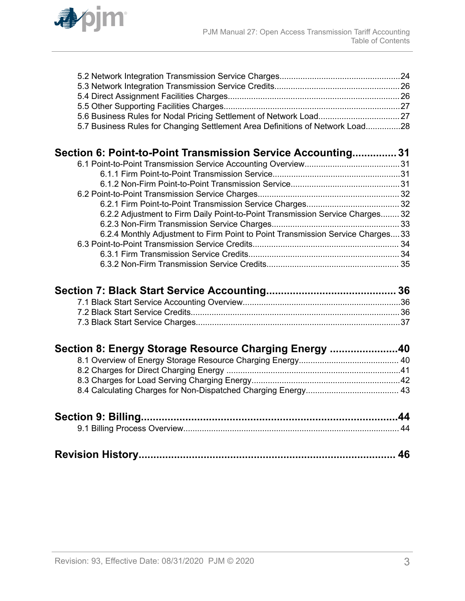

| 5.7 Business Rules for Changing Settlement Area Definitions of Network Load28 |  |
|-------------------------------------------------------------------------------|--|

| Section 6: Point-to-Point Transmission Service Accounting 31                   |  |
|--------------------------------------------------------------------------------|--|
|                                                                                |  |
|                                                                                |  |
|                                                                                |  |
|                                                                                |  |
|                                                                                |  |
| 6.2.2 Adjustment to Firm Daily Point-to-Point Transmission Service Charges 32  |  |
|                                                                                |  |
| 6.2.4 Monthly Adjustment to Firm Point to Point Transmission Service Charges33 |  |
|                                                                                |  |
|                                                                                |  |
|                                                                                |  |

| Section 8: Energy Storage Resource Charging Energy 40 |  |
|-------------------------------------------------------|--|
|                                                       |  |
|                                                       |  |
|                                                       |  |
|                                                       |  |
|                                                       |  |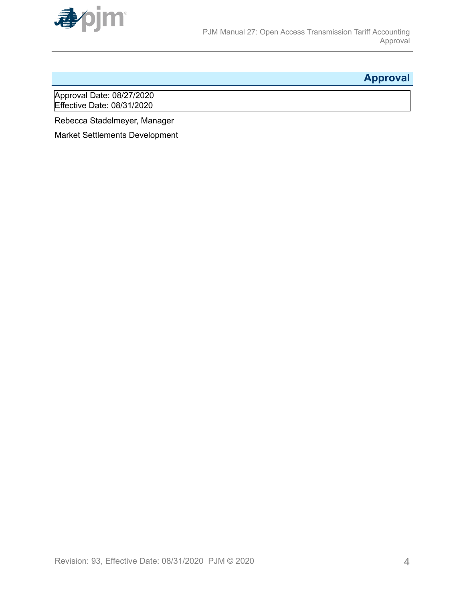<span id="page-3-0"></span>

# **Approval**

Approval Date: 08/27/2020 Effective Date: 08/31/2020

Rebecca Stadelmeyer, Manager

Market Settlements Development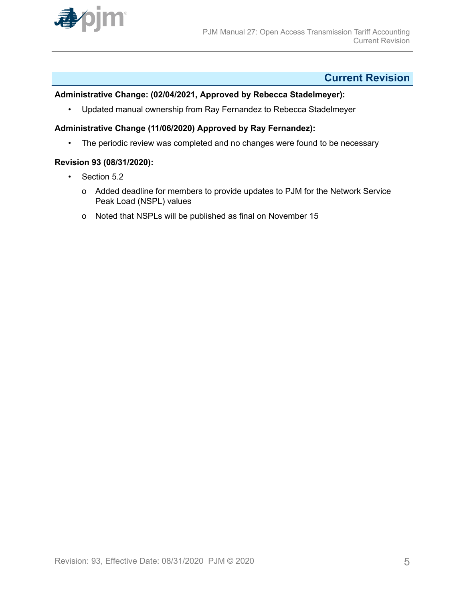<span id="page-4-0"></span>

# **Current Revision**

# **Administrative Change: (02/04/2021, Approved by Rebecca Stadelmeyer):**

• Updated manual ownership from Ray Fernandez to Rebecca Stadelmeyer

# **Administrative Change (11/06/2020) Approved by Ray Fernandez):**

• The periodic review was completed and no changes were found to be necessary

### **Revision 93 (08/31/2020):**

- Section 5.2
	- o Added deadline for members to provide updates to PJM for the Network Service Peak Load (NSPL) values
	- o Noted that NSPLs will be published as final on November 15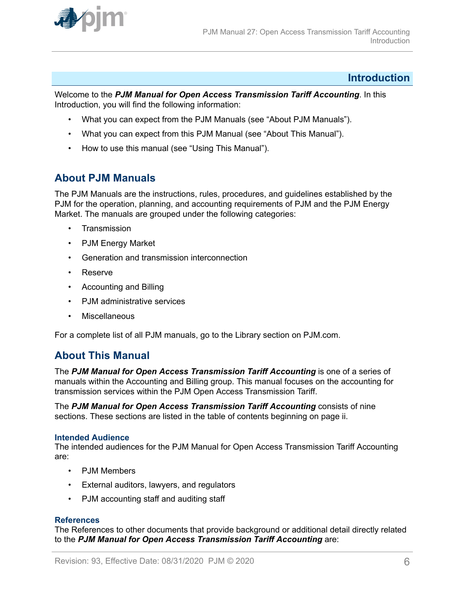<span id="page-5-0"></span>

# **Introduction**

Welcome to the *PJM Manual for Open Access Transmission Tariff Accounting*. In this Introduction, you will find the following information:

- What you can expect from the PJM Manuals (see "About PJM Manuals").
- What you can expect from this PJM Manual (see "About This Manual").
- How to use this manual (see "Using This Manual").

# **About PJM Manuals**

The PJM Manuals are the instructions, rules, procedures, and guidelines established by the PJM for the operation, planning, and accounting requirements of PJM and the PJM Energy Market. The manuals are grouped under the following categories:

- Transmission
- PJM Energy Market
- Generation and transmission interconnection
- Reserve
- Accounting and Billing
- PJM administrative services
- Miscellaneous

For a complete list of all PJM manuals, go to the Library section on PJM.com.

# **About This Manual**

The PJM Manual for Open Access Transmission Tariff Accounting is one of a series of manuals within the Accounting and Billing group. This manual focuses on the accounting for transmission services within the PJM Open Access Transmission Tariff.

The *PJM Manual for Open Access Transmission Tariff Accounting* consists of nine sections. These sections are listed in the table of contents beginning on page ii.

### **Intended Audience**

The intended audiences for the PJM Manual for Open Access Transmission Tariff Accounting are:

- PJM Members
- External auditors, lawyers, and regulators
- PJM accounting staff and auditing staff

### **References**

The References to other documents that provide background or additional detail directly related to the *PJM Manual for Open Access Transmission Tariff Accounting* are: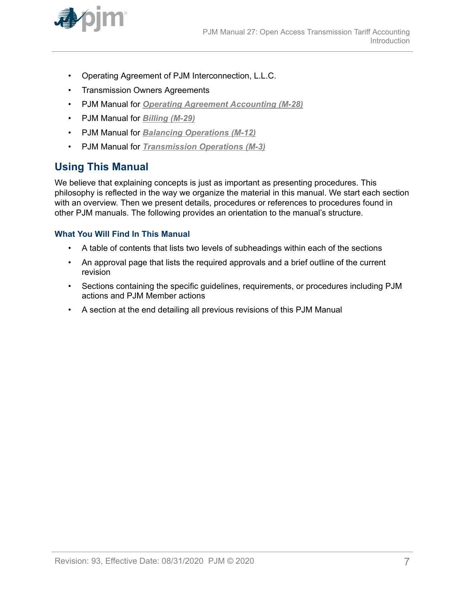<span id="page-6-0"></span>

- Operating Agreement of PJM Interconnection, L.L.C.
- Transmission Owners Agreements
- PJM Manual for *[Operating Agreement Accounting \(M-28\)](http://www.pjm.com/~/media/documents/manuals/m28.ashx)*
- PJM Manual for *[Billing \(M-29\)](http://www.pjm.com/~/media/documents/manuals/m29.ashx)*
- PJM Manual for *[Balancing Operations \(M-12\)](http://www.pjm.com/~/media/documents/manuals/m12.ashx)*
- PJM Manual for *[Transmission Operations \(M-3\)](http://www.pjm.com/~/media/documents/manuals/m03.ashx)*

# **Using This Manual**

We believe that explaining concepts is just as important as presenting procedures. This philosophy is reflected in the way we organize the material in this manual. We start each section with an overview. Then we present details, procedures or references to procedures found in other PJM manuals. The following provides an orientation to the manual's structure.

### **What You Will Find In This Manual**

- A table of contents that lists two levels of subheadings within each of the sections
- An approval page that lists the required approvals and a brief outline of the current revision
- Sections containing the specific guidelines, requirements, or procedures including PJM actions and PJM Member actions
- A section at the end detailing all previous revisions of this PJM Manual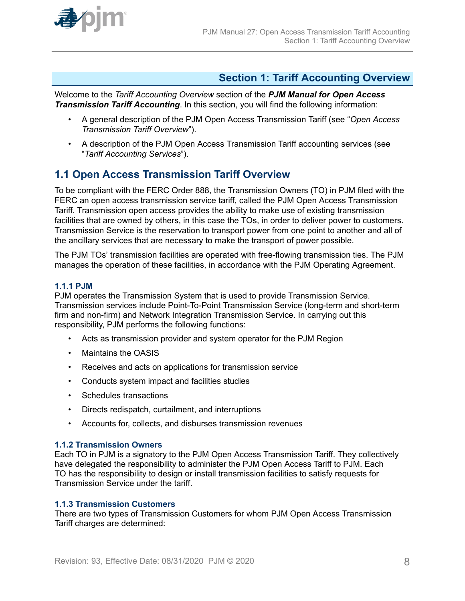<span id="page-7-0"></span>

# **Section 1: Tariff Accounting Overview**

Welcome to the *Tariff Accounting Overview* section of the *PJM Manual for Open Access Transmission Tariff Accounting*. In this section, you will find the following information:

- A general description of the PJM Open Access Transmission Tariff (see "*Open Access Transmission Tariff Overview*").
- A description of the PJM Open Access Transmission Tariff accounting services (see "*Tariff Accounting Services*").

# **1.1 Open Access Transmission Tariff Overview**

To be compliant with the FERC Order 888, the Transmission Owners (TO) in PJM filed with the FERC an open access transmission service tariff, called the PJM Open Access Transmission Tariff. Transmission open access provides the ability to make use of existing transmission facilities that are owned by others, in this case the TOs, in order to deliver power to customers. Transmission Service is the reservation to transport power from one point to another and all of the ancillary services that are necessary to make the transport of power possible.

The PJM TOs' transmission facilities are operated with free-flowing transmission ties. The PJM manages the operation of these facilities, in accordance with the PJM Operating Agreement.

### **1.1.1 PJM**

PJM operates the Transmission System that is used to provide Transmission Service. Transmission services include Point-To-Point Transmission Service (long-term and short-term firm and non-firm) and Network Integration Transmission Service. In carrying out this responsibility, PJM performs the following functions:

- Acts as transmission provider and system operator for the PJM Region
- Maintains the OASIS
- Receives and acts on applications for transmission service
- Conducts system impact and facilities studies
- Schedules transactions
- Directs redispatch, curtailment, and interruptions
- Accounts for, collects, and disburses transmission revenues

### **1.1.2 Transmission Owners**

Each TO in PJM is a signatory to the PJM Open Access Transmission Tariff. They collectively have delegated the responsibility to administer the PJM Open Access Tariff to PJM. Each TO has the responsibility to design or install transmission facilities to satisfy requests for Transmission Service under the tariff.

# **1.1.3 Transmission Customers**

There are two types of Transmission Customers for whom PJM Open Access Transmission Tariff charges are determined: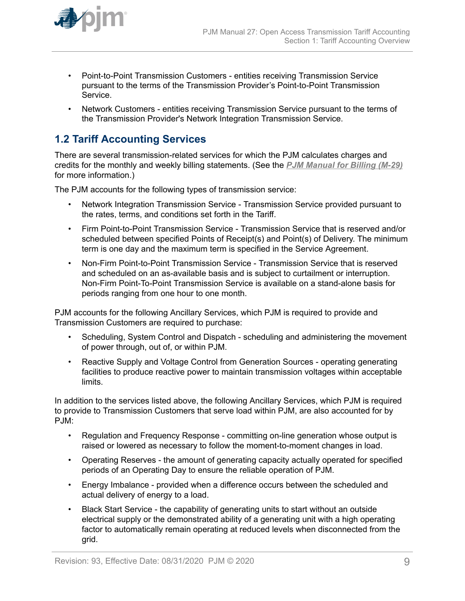<span id="page-8-0"></span>

- Point-to-Point Transmission Customers entities receiving Transmission Service pursuant to the terms of the Transmission Provider's Point-to-Point Transmission Service.
- Network Customers entities receiving Transmission Service pursuant to the terms of the Transmission Provider's Network Integration Transmission Service.

# **1.2 Tariff Accounting Services**

There are several transmission-related services for which the PJM calculates charges and credits for the monthly and weekly billing statements. (See the *[PJM Manual for Billing \(M-29\)](http://www.pjm.com/~/media/documents/manuals/m29.ashx)* for more information.)

The PJM accounts for the following types of transmission service:

- Network Integration Transmission Service Transmission Service provided pursuant to the rates, terms, and conditions set forth in the Tariff.
- Firm Point-to-Point Transmission Service Transmission Service that is reserved and/or scheduled between specified Points of Receipt(s) and Point(s) of Delivery. The minimum term is one day and the maximum term is specified in the Service Agreement.
- Non-Firm Point-to-Point Transmission Service Transmission Service that is reserved and scheduled on an as-available basis and is subject to curtailment or interruption. Non-Firm Point-To-Point Transmission Service is available on a stand-alone basis for periods ranging from one hour to one month.

PJM accounts for the following Ancillary Services, which PJM is required to provide and Transmission Customers are required to purchase:

- Scheduling, System Control and Dispatch scheduling and administering the movement of power through, out of, or within PJM.
- Reactive Supply and Voltage Control from Generation Sources operating generating facilities to produce reactive power to maintain transmission voltages within acceptable limits.

In addition to the services listed above, the following Ancillary Services, which PJM is required to provide to Transmission Customers that serve load within PJM, are also accounted for by PJM:

- Regulation and Frequency Response committing on-line generation whose output is raised or lowered as necessary to follow the moment-to-moment changes in load.
- Operating Reserves the amount of generating capacity actually operated for specified periods of an Operating Day to ensure the reliable operation of PJM.
- Energy Imbalance provided when a difference occurs between the scheduled and actual delivery of energy to a load.
- Black Start Service the capability of generating units to start without an outside electrical supply or the demonstrated ability of a generating unit with a high operating factor to automatically remain operating at reduced levels when disconnected from the grid.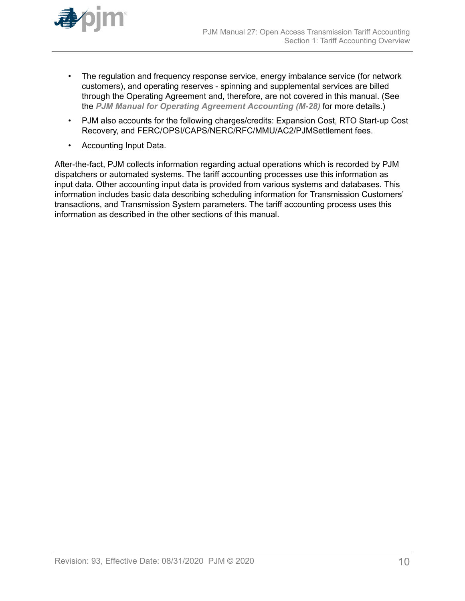

- The regulation and frequency response service, energy imbalance service (for network customers), and operating reserves - spinning and supplemental services are billed through the Operating Agreement and, therefore, are not covered in this manual. (See the *[PJM Manual for Operating Agreement Accounting \(M-28\)](http://www.pjm.com/~/media/documents/manuals/m28.ashx)* for more details.)
- PJM also accounts for the following charges/credits: Expansion Cost, RTO Start-up Cost Recovery, and FERC/OPSI/CAPS/NERC/RFC/MMU/AC2/PJMSettlement fees.
- Accounting Input Data.

After-the-fact, PJM collects information regarding actual operations which is recorded by PJM dispatchers or automated systems. The tariff accounting processes use this information as input data. Other accounting input data is provided from various systems and databases. This information includes basic data describing scheduling information for Transmission Customers' transactions, and Transmission System parameters. The tariff accounting process uses this information as described in the other sections of this manual.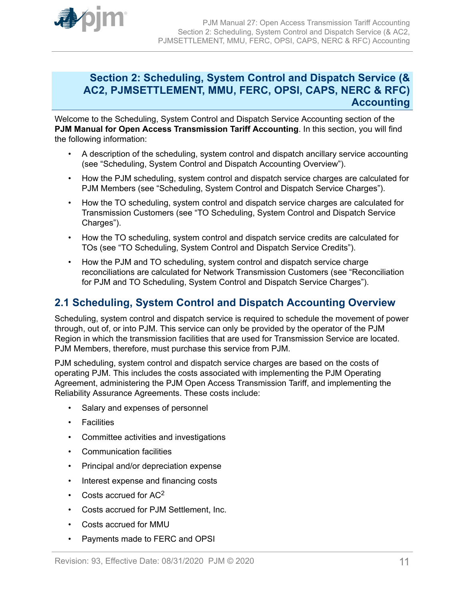# <span id="page-10-0"></span>**Section 2: Scheduling, System Control and Dispatch Service (& AC2, PJMSETTLEMENT, MMU, FERC, OPSI, CAPS, NERC & RFC) Accounting**

Welcome to the Scheduling, System Control and Dispatch Service Accounting section of the **PJM Manual for Open Access Transmission Tariff Accounting**. In this section, you will find the following information:

- A description of the scheduling, system control and dispatch ancillary service accounting (see "Scheduling, System Control and Dispatch Accounting Overview").
- How the PJM scheduling, system control and dispatch service charges are calculated for PJM Members (see "Scheduling, System Control and Dispatch Service Charges").
- How the TO scheduling, system control and dispatch service charges are calculated for Transmission Customers (see "TO Scheduling, System Control and Dispatch Service Charges").
- How the TO scheduling, system control and dispatch service credits are calculated for TOs (see "TO Scheduling, System Control and Dispatch Service Credits").
- How the PJM and TO scheduling, system control and dispatch service charge reconciliations are calculated for Network Transmission Customers (see "Reconciliation for PJM and TO Scheduling, System Control and Dispatch Service Charges").

# **2.1 Scheduling, System Control and Dispatch Accounting Overview**

Scheduling, system control and dispatch service is required to schedule the movement of power through, out of, or into PJM. This service can only be provided by the operator of the PJM Region in which the transmission facilities that are used for Transmission Service are located. PJM Members, therefore, must purchase this service from PJM.

PJM scheduling, system control and dispatch service charges are based on the costs of operating PJM. This includes the costs associated with implementing the PJM Operating Agreement, administering the PJM Open Access Transmission Tariff, and implementing the Reliability Assurance Agreements. These costs include:

- Salary and expenses of personnel
- Facilities
- Committee activities and investigations
- Communication facilities
- Principal and/or depreciation expense
- Interest expense and financing costs
- Costs accrued for  $AC<sup>2</sup>$
- Costs accrued for PJM Settlement, Inc.
- Costs accrued for MMU
- Payments made to FERC and OPSI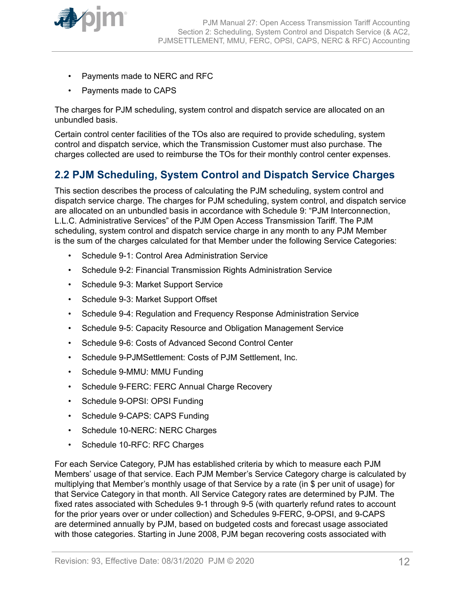<span id="page-11-0"></span>

- Payments made to NERC and RFC
- Payments made to CAPS

The charges for PJM scheduling, system control and dispatch service are allocated on an unbundled basis.

Certain control center facilities of the TOs also are required to provide scheduling, system control and dispatch service, which the Transmission Customer must also purchase. The charges collected are used to reimburse the TOs for their monthly control center expenses.

# **2.2 PJM Scheduling, System Control and Dispatch Service Charges**

This section describes the process of calculating the PJM scheduling, system control and dispatch service charge. The charges for PJM scheduling, system control, and dispatch service are allocated on an unbundled basis in accordance with Schedule 9: "PJM Interconnection, L.L.C. Administrative Services" of the PJM Open Access Transmission Tariff. The PJM scheduling, system control and dispatch service charge in any month to any PJM Member is the sum of the charges calculated for that Member under the following Service Categories:

- Schedule 9-1: Control Area Administration Service
- Schedule 9-2: Financial Transmission Rights Administration Service
- Schedule 9-3: Market Support Service
- Schedule 9-3: Market Support Offset
- Schedule 9-4: Regulation and Frequency Response Administration Service
- Schedule 9-5: Capacity Resource and Obligation Management Service
- Schedule 9-6: Costs of Advanced Second Control Center
- Schedule 9-PJMSettlement: Costs of PJM Settlement, Inc.
- Schedule 9-MMU: MMU Funding
- Schedule 9-FERC: FERC Annual Charge Recovery
- Schedule 9-OPSI: OPSI Funding
- Schedule 9-CAPS: CAPS Funding
- Schedule 10-NERC: NERC Charges
- Schedule 10-RFC: RFC Charges

For each Service Category, PJM has established criteria by which to measure each PJM Members' usage of that service. Each PJM Member's Service Category charge is calculated by multiplying that Member's monthly usage of that Service by a rate (in \$ per unit of usage) for that Service Category in that month. All Service Category rates are determined by PJM. The fixed rates associated with Schedules 9-1 through 9-5 (with quarterly refund rates to account for the prior years over or under collection) and Schedules 9-FERC, 9-OPSI, and 9-CAPS are determined annually by PJM, based on budgeted costs and forecast usage associated with those categories. Starting in June 2008, PJM began recovering costs associated with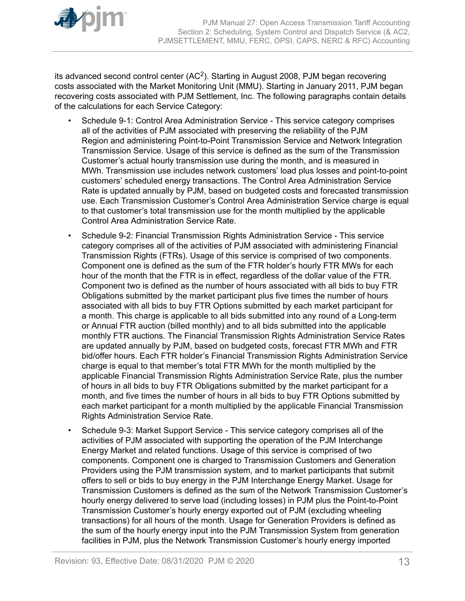

its advanced second control center (AC<sup>2</sup>). Starting in August 2008, PJM began recovering costs associated with the Market Monitoring Unit (MMU). Starting in January 2011, PJM began recovering costs associated with PJM Settlement, Inc. The following paragraphs contain details of the calculations for each Service Category:

- Schedule 9-1: Control Area Administration Service This service category comprises all of the activities of PJM associated with preserving the reliability of the PJM Region and administering Point-to-Point Transmission Service and Network Integration Transmission Service. Usage of this service is defined as the sum of the Transmission Customer's actual hourly transmission use during the month, and is measured in MWh. Transmission use includes network customers' load plus losses and point-to-point customers' scheduled energy transactions. The Control Area Administration Service Rate is updated annually by PJM, based on budgeted costs and forecasted transmission use. Each Transmission Customer's Control Area Administration Service charge is equal to that customer's total transmission use for the month multiplied by the applicable Control Area Administration Service Rate.
- Schedule 9-2: Financial Transmission Rights Administration Service This service category comprises all of the activities of PJM associated with administering Financial Transmission Rights (FTRs). Usage of this service is comprised of two components. Component one is defined as the sum of the FTR holder's hourly FTR MWs for each hour of the month that the FTR is in effect, regardless of the dollar value of the FTR. Component two is defined as the number of hours associated with all bids to buy FTR Obligations submitted by the market participant plus five times the number of hours associated with all bids to buy FTR Options submitted by each market participant for a month. This charge is applicable to all bids submitted into any round of a Long-term or Annual FTR auction (billed monthly) and to all bids submitted into the applicable monthly FTR auctions. The Financial Transmission Rights Administration Service Rates are updated annually by PJM, based on budgeted costs, forecast FTR MWh and FTR bid/offer hours. Each FTR holder's Financial Transmission Rights Administration Service charge is equal to that member's total FTR MWh for the month multiplied by the applicable Financial Transmission Rights Administration Service Rate, plus the number of hours in all bids to buy FTR Obligations submitted by the market participant for a month, and five times the number of hours in all bids to buy FTR Options submitted by each market participant for a month multiplied by the applicable Financial Transmission Rights Administration Service Rate.
- Schedule 9-3: Market Support Service This service category comprises all of the activities of PJM associated with supporting the operation of the PJM Interchange Energy Market and related functions. Usage of this service is comprised of two components. Component one is charged to Transmission Customers and Generation Providers using the PJM transmission system, and to market participants that submit offers to sell or bids to buy energy in the PJM Interchange Energy Market. Usage for Transmission Customers is defined as the sum of the Network Transmission Customer's hourly energy delivered to serve load (including losses) in PJM plus the Point-to-Point Transmission Customer's hourly energy exported out of PJM (excluding wheeling transactions) for all hours of the month. Usage for Generation Providers is defined as the sum of the hourly energy input into the PJM Transmission System from generation facilities in PJM, plus the Network Transmission Customer's hourly energy imported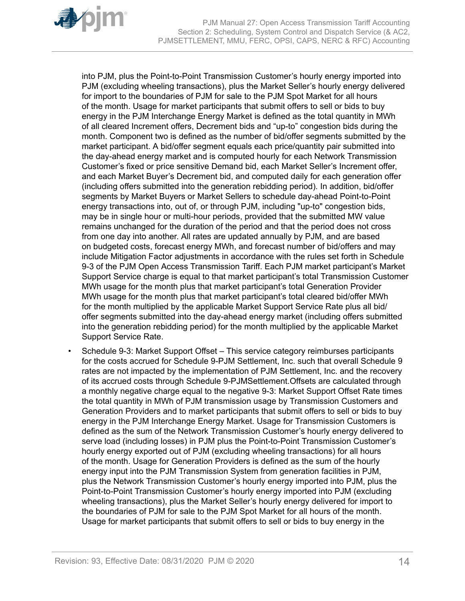

into PJM, plus the Point-to-Point Transmission Customer's hourly energy imported into PJM (excluding wheeling transactions), plus the Market Seller's hourly energy delivered for import to the boundaries of PJM for sale to the PJM Spot Market for all hours of the month. Usage for market participants that submit offers to sell or bids to buy energy in the PJM Interchange Energy Market is defined as the total quantity in MWh of all cleared Increment offers, Decrement bids and "up-to" congestion bids during the month. Component two is defined as the number of bid/offer segments submitted by the market participant. A bid/offer segment equals each price/quantity pair submitted into the day-ahead energy market and is computed hourly for each Network Transmission Customer's fixed or price sensitive Demand bid, each Market Seller's Increment offer, and each Market Buyer's Decrement bid, and computed daily for each generation offer (including offers submitted into the generation rebidding period). In addition, bid/offer segments by Market Buyers or Market Sellers to schedule day-ahead Point-to-Point energy transactions into, out of, or through PJM, including "up-to" congestion bids, may be in single hour or multi-hour periods, provided that the submitted MW value remains unchanged for the duration of the period and that the period does not cross from one day into another. All rates are updated annually by PJM, and are based on budgeted costs, forecast energy MWh, and forecast number of bid/offers and may include Mitigation Factor adjustments in accordance with the rules set forth in Schedule 9-3 of the PJM Open Access Transmission Tariff. Each PJM market participant's Market Support Service charge is equal to that market participant's total Transmission Customer MWh usage for the month plus that market participant's total Generation Provider MWh usage for the month plus that market participant's total cleared bid/offer MWh for the month multiplied by the applicable Market Support Service Rate plus all bid/ offer segments submitted into the day-ahead energy market (including offers submitted into the generation rebidding period) for the month multiplied by the applicable Market Support Service Rate.

• Schedule 9-3: Market Support Offset *–* This service category reimburses participants for the costs accrued for Schedule 9-PJM Settlement, Inc. such that overall Schedule 9 rates are not impacted by the implementation of PJM Settlement, Inc. and the recovery of its accrued costs through Schedule 9-PJMSettlement.Offsets are calculated through a monthly negative charge equal to the negative 9-3: Market Support Offset Rate times the total quantity in MWh of PJM transmission usage by Transmission Customers and Generation Providers and to market participants that submit offers to sell or bids to buy energy in the PJM Interchange Energy Market. Usage for Transmission Customers is defined as the sum of the Network Transmission Customer's hourly energy delivered to serve load (including losses) in PJM plus the Point-to-Point Transmission Customer's hourly energy exported out of PJM (excluding wheeling transactions) for all hours of the month. Usage for Generation Providers is defined as the sum of the hourly energy input into the PJM Transmission System from generation facilities in PJM, plus the Network Transmission Customer's hourly energy imported into PJM, plus the Point-to-Point Transmission Customer's hourly energy imported into PJM (excluding wheeling transactions), plus the Market Seller's hourly energy delivered for import to the boundaries of PJM for sale to the PJM Spot Market for all hours of the month. Usage for market participants that submit offers to sell or bids to buy energy in the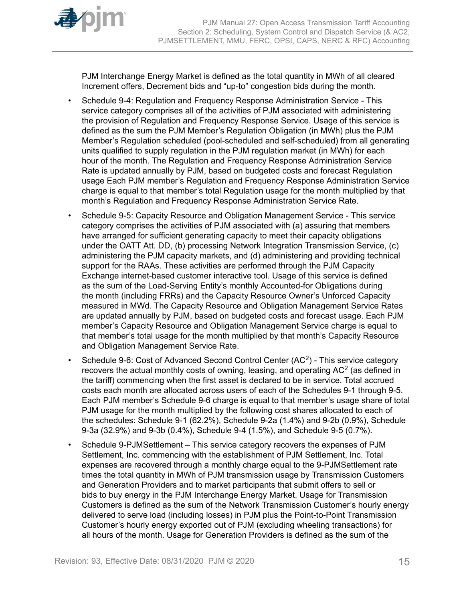

PJM Interchange Energy Market is defined as the total quantity in MWh of all cleared Increment offers, Decrement bids and "up-to" congestion bids during the month.

- Schedule 9-4: Regulation and Frequency Response Administration Service This service category comprises all of the activities of PJM associated with administering the provision of Regulation and Frequency Response Service. Usage of this service is defined as the sum the PJM Member's Regulation Obligation (in MWh) plus the PJM Member's Regulation scheduled (pool-scheduled and self-scheduled) from all generating units qualified to supply regulation in the PJM regulation market (in MWh) for each hour of the month. The Regulation and Frequency Response Administration Service Rate is updated annually by PJM, based on budgeted costs and forecast Regulation usage Each PJM member's Regulation and Frequency Response Administration Service charge is equal to that member's total Regulation usage for the month multiplied by that month's Regulation and Frequency Response Administration Service Rate.
- Schedule 9-5: Capacity Resource and Obligation Management Service This service category comprises the activities of PJM associated with (a) assuring that members have arranged for sufficient generating capacity to meet their capacity obligations under the OATT Att. DD, (b) processing Network Integration Transmission Service, (c) administering the PJM capacity markets, and (d) administering and providing technical support for the RAAs. These activities are performed through the PJM Capacity Exchange internet-based customer interactive tool. Usage of this service is defined as the sum of the Load-Serving Entity's monthly Accounted-for Obligations during the month (including FRRs) and the Capacity Resource Owner's Unforced Capacity measured in MWd. The Capacity Resource and Obligation Management Service Rates are updated annually by PJM, based on budgeted costs and forecast usage. Each PJM member's Capacity Resource and Obligation Management Service charge is equal to that member's total usage for the month multiplied by that month's Capacity Resource and Obligation Management Service Rate.
- Schedule 9-6: Cost of Advanced Second Control Center (AC<sup>2</sup>) This service category recovers the actual monthly costs of owning, leasing, and operating AC<sup>2</sup> (as defined in the tariff) commencing when the first asset is declared to be in service. Total accrued costs each month are allocated across users of each of the Schedules 9-1 through 9-5. Each PJM member's Schedule 9-6 charge is equal to that member's usage share of total PJM usage for the month multiplied by the following cost shares allocated to each of the schedules: Schedule 9-1 (62.2%), Schedule 9-2a (1.4%) and 9-2b (0.9%), Schedule 9-3a (32.9%) and 9-3b (0.4%), Schedule 9-4 (1.5%), and Schedule 9-5 (0.7%).
- Schedule 9-PJMSettlementThis service category recovers the expenses of PJM Settlement, Inc. commencing with the establishment of PJM Settlement, Inc. Total expenses are recovered through a monthly charge equal to the 9-PJMSettlement rate times the total quantity in MWh of PJM transmission usage by Transmission Customers and Generation Providers and to market participants that submit offers to sell or bids to buy energy in the PJM Interchange Energy Market. Usage for Transmission Customers is defined as the sum of the Network Transmission Customer's hourly energy delivered to serve load (including losses) in PJM plus the Point-to-Point Transmission Customer's hourly energy exported out of PJM (excluding wheeling transactions) for all hours of the month. Usage for Generation Providers is defined as the sum of the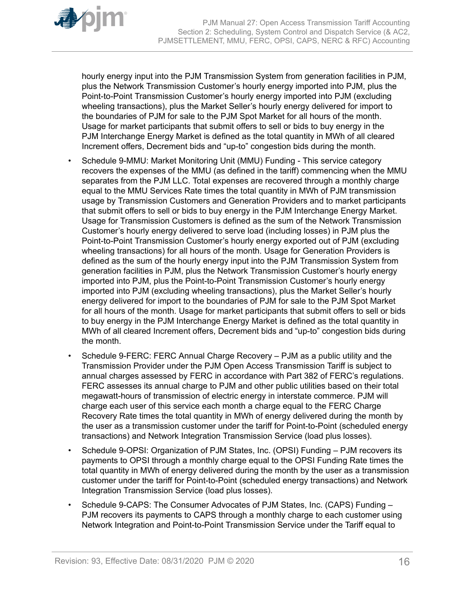

hourly energy input into the PJM Transmission System from generation facilities in PJM, plus the Network Transmission Customer's hourly energy imported into PJM, plus the Point-to-Point Transmission Customer's hourly energy imported into PJM (excluding wheeling transactions), plus the Market Seller's hourly energy delivered for import to the boundaries of PJM for sale to the PJM Spot Market for all hours of the month. Usage for market participants that submit offers to sell or bids to buy energy in the PJM Interchange Energy Market is defined as the total quantity in MWh of all cleared Increment offers, Decrement bids and "up-to" congestion bids during the month.

- Schedule 9-MMU: Market Monitoring Unit (MMU) Funding This service category recovers the expenses of the MMU (as defined in the tariff) commencing when the MMU separates from the PJM LLC. Total expenses are recovered through a monthly charge equal to the MMU Services Rate times the total quantity in MWh of PJM transmission usage by Transmission Customers and Generation Providers and to market participants that submit offers to sell or bids to buy energy in the PJM Interchange Energy Market. Usage for Transmission Customers is defined as the sum of the Network Transmission Customer's hourly energy delivered to serve load (including losses) in PJM plus the Point-to-Point Transmission Customer's hourly energy exported out of PJM (excluding wheeling transactions) for all hours of the month. Usage for Generation Providers is defined as the sum of the hourly energy input into the PJM Transmission System from generation facilities in PJM, plus the Network Transmission Customer's hourly energy imported into PJM, plus the Point-to-Point Transmission Customer's hourly energy imported into PJM (excluding wheeling transactions), plus the Market Seller's hourly energy delivered for import to the boundaries of PJM for sale to the PJM Spot Market for all hours of the month. Usage for market participants that submit offers to sell or bids to buy energy in the PJM Interchange Energy Market is defined as the total quantity in MWh of all cleared Increment offers, Decrement bids and "up-to" congestion bids during the month.
- Schedule 9-FERC: FERC Annual Charge Recovery PJM as a public utility and the Transmission Provider under the PJM Open Access Transmission Tariff is subject to annual charges assessed by FERC in accordance with Part 382 of FERC's regulations. FERC assesses its annual charge to PJM and other public utilities based on their total megawatt-hours of transmission of electric energy in interstate commerce. PJM will charge each user of this service each month a charge equal to the FERC Charge Recovery Rate times the total quantity in MWh of energy delivered during the month by the user as a transmission customer under the tariff for Point-to-Point (scheduled energy transactions) and Network Integration Transmission Service (load plus losses).
- Schedule 9-OPSI: Organization of PJM States, Inc. (OPSI) Funding PJM recovers its payments to OPSI through a monthly charge equal to the OPSI Funding Rate times the total quantity in MWh of energy delivered during the month by the user as a transmission customer under the tariff for Point-to-Point (scheduled energy transactions) and Network Integration Transmission Service (load plus losses).
- Schedule 9-CAPS: The Consumer Advocates of PJM States, Inc. (CAPS) Funding PJM recovers its payments to CAPS through a monthly charge to each customer using Network Integration and Point-to-Point Transmission Service under the Tariff equal to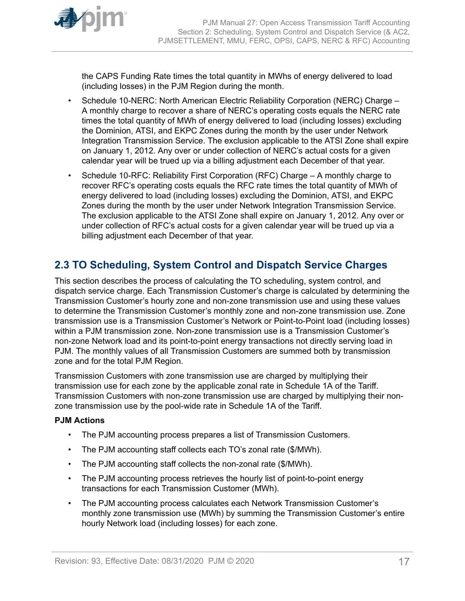<span id="page-16-0"></span>

the CAPS Funding Rate times the total quantity in MWhs of energy delivered to load (including losses) in the PJM Region during the month.

- Schedule 10-NERC: North American Electric Reliability Corporation (NERC) Charge A monthly charge to recover a share of NERC's operating costs equals the NERC rate times the total quantity of MWh of energy delivered to load (including losses) excluding the Dominion, ATSI, and EKPC Zones during the month by the user under Network Integration Transmission Service. The exclusion applicable to the ATSI Zone shall expire on January 1, 2012. Any over or under collection of NERC's actual costs for a given calendar year will be trued up via a billing adjustment each December of that year.
- Schedule 10-RFC: Reliability First Corporation (RFC) Charge A monthly charge to recover RFC's operating costs equals the RFC rate times the total quantity of MWh of energy delivered to load (including losses) excluding the Dominion, ATSI, and EKPC Zones during the month by the user under Network Integration Transmission Service. The exclusion applicable to the ATSI Zone shall expire on January 1, 2012. Any over or under collection of RFC's actual costs for a given calendar year will be trued up via a billing adjustment each December of that year.

# **2.3 TO Scheduling, System Control and Dispatch Service Charges**

This section describes the process of calculating the TO scheduling, system control, and dispatch service charge. Each Transmission Customer's charge is calculated by determining the Transmission Customer's hourly zone and non-zone transmission use and using these values to determine the Transmission Customer's monthly zone and non-zone transmission use. Zone transmission use is a Transmission Customer's Network or Point-to-Point load (including losses) within a PJM transmission zone. Non-zone transmission use is a Transmission Customer's non-zone Network load and its point-to-point energy transactions not directly serving load in PJM. The monthly values of all Transmission Customers are summed both by transmission zone and for the total PJM Region.

Transmission Customers with zone transmission use are charged by multiplying their transmission use for each zone by the applicable zonal rate in Schedule 1A of the Tariff. Transmission Customers with non-zone transmission use are charged by multiplying their nonzone transmission use by the pool-wide rate in Schedule 1A of the Tariff.

# **PJM Actions**

- The PJM accounting process prepares a list of Transmission Customers.
- The PJM accounting staff collects each TO's zonal rate (\$/MWh).
- The PJM accounting staff collects the non-zonal rate (\$/MWh).
- The PJM accounting process retrieves the hourly list of point-to-point energy transactions for each Transmission Customer (MWh).
- The PJM accounting process calculates each Network Transmission Customer's monthly zone transmission use (MWh) by summing the Transmission Customer's entire hourly Network load (including losses) for each zone.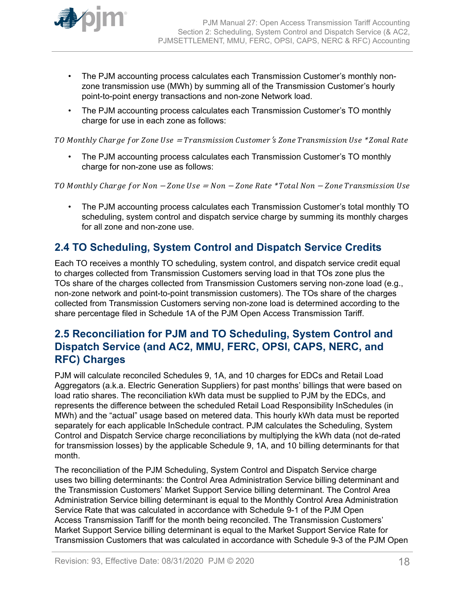<span id="page-17-0"></span>

- The PJM accounting process calculates each Transmission Customer's monthly nonzone transmission use (MWh) by summing all of the Transmission Customer's hourly point-to-point energy transactions and non-zone Network load.
- The PJM accounting process calculates each Transmission Customer's TO monthly charge for use in each zone as follows:

TO Monthly Charge for Zone Use = Transmission Customer's Zone Transmission Use \* Zonal Rate

• The PJM accounting process calculates each Transmission Customer's TO monthly charge for non-zone use as follows:

TO Monthly Charge for Non  $-Zone$  Use = Non  $-Zone$  Rate \*Total Non  $-Zone$  Transmission Use

• The PJM accounting process calculates each Transmission Customer's total monthly TO scheduling, system control and dispatch service charge by summing its monthly charges for all zone and non-zone use.

# **2.4 TO Scheduling, System Control and Dispatch Service Credits**

Each TO receives a monthly TO scheduling, system control, and dispatch service credit equal to charges collected from Transmission Customers serving load in that TOs zone plus the TOs share of the charges collected from Transmission Customers serving non-zone load (e.g., non-zone network and point-to-point transmission customers). The TOs share of the charges collected from Transmission Customers serving non-zone load is determined according to the share percentage filed in Schedule 1A of the PJM Open Access Transmission Tariff.

# **2.5 Reconciliation for PJM and TO Scheduling, System Control and Dispatch Service (and AC2, MMU, FERC, OPSI, CAPS, NERC, and RFC) Charges**

PJM will calculate reconciled Schedules 9, 1A, and 10 charges for EDCs and Retail Load Aggregators (a.k.a. Electric Generation Suppliers) for past months' billings that were based on load ratio shares. The reconciliation kWh data must be supplied to PJM by the EDCs, and represents the difference between the scheduled Retail Load Responsibility InSchedules (in MWh) and the "actual" usage based on metered data. This hourly kWh data must be reported separately for each applicable InSchedule contract. PJM calculates the Scheduling, System Control and Dispatch Service charge reconciliations by multiplying the kWh data (not de-rated for transmission losses) by the applicable Schedule 9, 1A, and 10 billing determinants for that month.

The reconciliation of the PJM Scheduling, System Control and Dispatch Service charge uses two billing determinants: the Control Area Administration Service billing determinant and the Transmission Customers' Market Support Service billing determinant. The Control Area Administration Service billing determinant is equal to the Monthly Control Area Administration Service Rate that was calculated in accordance with Schedule 9-1 of the PJM Open Access Transmission Tariff for the month being reconciled. The Transmission Customers' Market Support Service billing determinant is equal to the Market Support Service Rate for Transmission Customers that was calculated in accordance with Schedule 9-3 of the PJM Open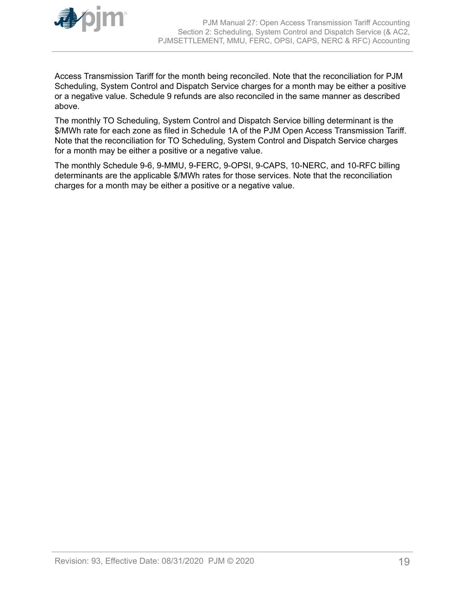

Access Transmission Tariff for the month being reconciled. Note that the reconciliation for PJM Scheduling, System Control and Dispatch Service charges for a month may be either a positive or a negative value. Schedule 9 refunds are also reconciled in the same manner as described above.

The monthly TO Scheduling, System Control and Dispatch Service billing determinant is the \$/MWh rate for each zone as filed in Schedule 1A of the PJM Open Access Transmission Tariff. Note that the reconciliation for TO Scheduling, System Control and Dispatch Service charges for a month may be either a positive or a negative value.

The monthly Schedule 9-6, 9-MMU, 9-FERC, 9-OPSI, 9-CAPS, 10-NERC, and 10-RFC billing determinants are the applicable \$/MWh rates for those services. Note that the reconciliation charges for a month may be either a positive or a negative value.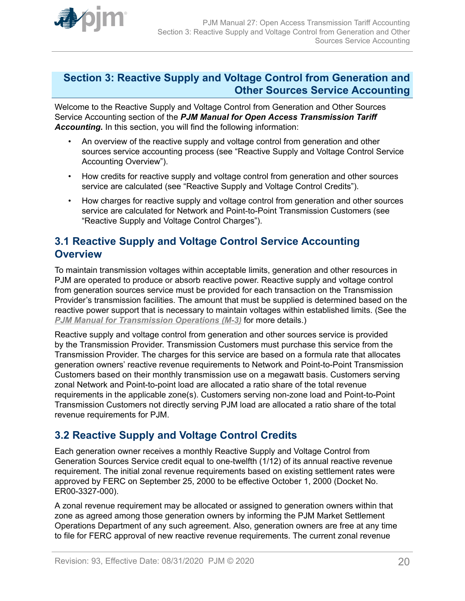<span id="page-19-0"></span>

# **Section 3: Reactive Supply and Voltage Control from Generation and Other Sources Service Accounting**

Welcome to the Reactive Supply and Voltage Control from Generation and Other Sources Service Accounting section of the *PJM Manual for Open Access Transmission Tariff Accounting.* In this section, you will find the following information:

- An overview of the reactive supply and voltage control from generation and other sources service accounting process (see "Reactive Supply and Voltage Control Service Accounting Overview").
- How credits for reactive supply and voltage control from generation and other sources service are calculated (see "Reactive Supply and Voltage Control Credits").
- How charges for reactive supply and voltage control from generation and other sources service are calculated for Network and Point-to-Point Transmission Customers (see "Reactive Supply and Voltage Control Charges").

# **3.1 Reactive Supply and Voltage Control Service Accounting Overview**

To maintain transmission voltages within acceptable limits, generation and other resources in PJM are operated to produce or absorb reactive power. Reactive supply and voltage control from generation sources service must be provided for each transaction on the Transmission Provider's transmission facilities. The amount that must be supplied is determined based on the reactive power support that is necessary to maintain voltages within established limits. (See the *[PJM Manual for Transmission Operations \(M-3\)](http://www.pjm.com/~/media/documents/manuals/m03.ashx)* for more details.)

Reactive supply and voltage control from generation and other sources service is provided by the Transmission Provider. Transmission Customers must purchase this service from the Transmission Provider. The charges for this service are based on a formula rate that allocates generation owners' reactive revenue requirements to Network and Point-to-Point Transmission Customers based on their monthly transmission use on a megawatt basis. Customers serving zonal Network and Point-to-point load are allocated a ratio share of the total revenue requirements in the applicable zone(s). Customers serving non-zone load and Point-to-Point Transmission Customers not directly serving PJM load are allocated a ratio share of the total revenue requirements for PJM.

# **3.2 Reactive Supply and Voltage Control Credits**

Each generation owner receives a monthly Reactive Supply and Voltage Control from Generation Sources Service credit equal to one-twelfth (1/12) of its annual reactive revenue requirement. The initial zonal revenue requirements based on existing settlement rates were approved by FERC on September 25, 2000 to be effective October 1, 2000 (Docket No. ER00-3327-000).

A zonal revenue requirement may be allocated or assigned to generation owners within that zone as agreed among those generation owners by informing the PJM Market Settlement Operations Department of any such agreement. Also, generation owners are free at any time to file for FERC approval of new reactive revenue requirements. The current zonal revenue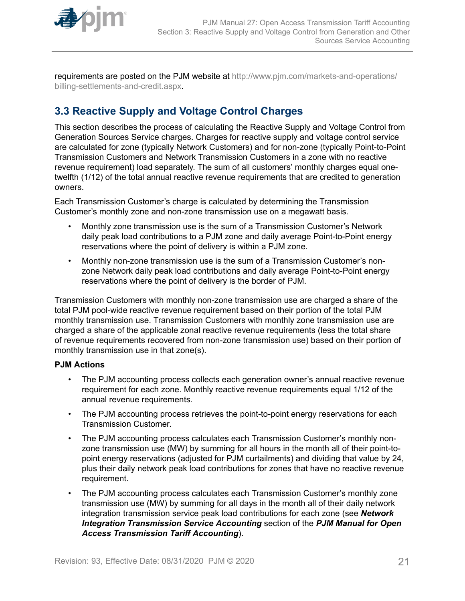<span id="page-20-0"></span>

requirements are posted on the PJM website at [http://www.pjm.com/markets-and-operations/](http://www.pjm.com/markets-and-operations/billing-settlements-and-credit.aspx) [billing-settlements-and-credit.aspx.](http://www.pjm.com/markets-and-operations/billing-settlements-and-credit.aspx)

# **3.3 Reactive Supply and Voltage Control Charges**

This section describes the process of calculating the Reactive Supply and Voltage Control from Generation Sources Service charges. Charges for reactive supply and voltage control service are calculated for zone (typically Network Customers) and for non-zone (typically Point-to-Point Transmission Customers and Network Transmission Customers in a zone with no reactive revenue requirement) load separately. The sum of all customers' monthly charges equal onetwelfth (1/12) of the total annual reactive revenue requirements that are credited to generation owners.

Each Transmission Customer's charge is calculated by determining the Transmission Customer's monthly zone and non-zone transmission use on a megawatt basis.

- Monthly zone transmission use is the sum of a Transmission Customer's Network daily peak load contributions to a PJM zone and daily average Point-to-Point energy reservations where the point of delivery is within a PJM zone.
- Monthly non-zone transmission use is the sum of a Transmission Customer's nonzone Network daily peak load contributions and daily average Point-to-Point energy reservations where the point of delivery is the border of PJM.

Transmission Customers with monthly non-zone transmission use are charged a share of the total PJM pool-wide reactive revenue requirement based on their portion of the total PJM monthly transmission use. Transmission Customers with monthly zone transmission use are charged a share of the applicable zonal reactive revenue requirements (less the total share of revenue requirements recovered from non-zone transmission use) based on their portion of monthly transmission use in that zone(s).

# **PJM Actions**

- The PJM accounting process collects each generation owner's annual reactive revenue requirement for each zone. Monthly reactive revenue requirements equal 1/12 of the annual revenue requirements.
- The PJM accounting process retrieves the point-to-point energy reservations for each Transmission Customer.
- The PJM accounting process calculates each Transmission Customer's monthly nonzone transmission use (MW) by summing for all hours in the month all of their point-topoint energy reservations (adjusted for PJM curtailments) and dividing that value by 24, plus their daily network peak load contributions for zones that have no reactive revenue requirement.
- The PJM accounting process calculates each Transmission Customer's monthly zone transmission use (MW) by summing for all days in the month all of their daily network integration transmission service peak load contributions for each zone (see *Network Integration Transmission Service Accounting* section of the *PJM Manual for Open Access Transmission Tariff Accounting*).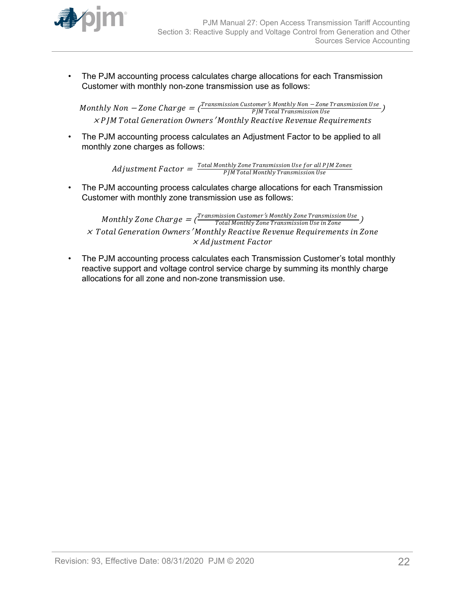

• The PJM accounting process calculates charge allocations for each Transmission Customer with monthly non-zone transmission use as follows:

 $\emph{Monthly Non}-\emph{Zone Charge}=\bar{\frac{\emph{Transmission Customer's Monthly Non}-\emph{Zone Transmission Use}}{\emph{PJM Total Transmission Use}}}\ \label{eq:1}$  $\times$  P JM Total Generation Owners  $'$ Monthly Reactive Revenue Requirements

• The PJM accounting process calculates an Adjustment Factor to be applied to all monthly zone charges as follows:

> $\emph{Adjus}$ tment  $Factor = \frac{Total\,Monthly\,Zone\,Transmission\,Use\,for\,all\,PJM\,Zones}{PJM\,Total\,Monthly\,Transmission\,Use}$ PJM Total Montℎly Transmission Use

• The PJM accounting process calculates charge allocations for each Transmission Customer with monthly zone transmission use as follows:

Monthly Zone Charge  $=$  ( $\frac{Transmission\ Customer\ 's\ Monthly\ Zone\ Transmission\ Use\ in\ Zone}$ ) <sup>×</sup> Total Generation Owners′ Montℎly Reactive Revenue Requirements in Zone × Adjustment Factor

• The PJM accounting process calculates each Transmission Customer's total monthly reactive support and voltage control service charge by summing its monthly charge allocations for all zone and non-zone transmission use.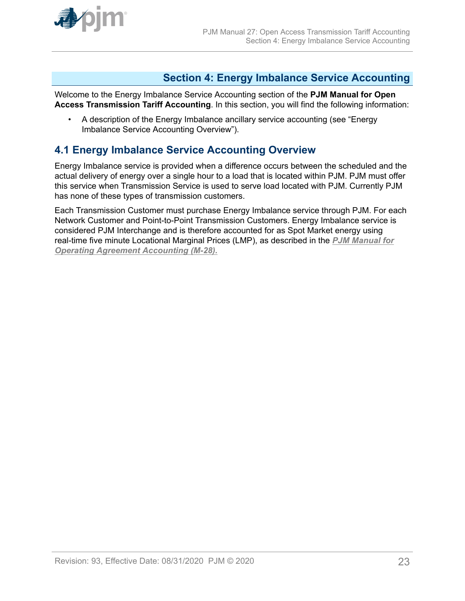<span id="page-22-0"></span>

# **Section 4: Energy Imbalance Service Accounting**

Welcome to the Energy Imbalance Service Accounting section of the **PJM Manual for Open Access Transmission Tariff Accounting**. In this section, you will find the following information:

• A description of the Energy Imbalance ancillary service accounting (see "Energy Imbalance Service Accounting Overview").

# **4.1 Energy Imbalance Service Accounting Overview**

Energy Imbalance service is provided when a difference occurs between the scheduled and the actual delivery of energy over a single hour to a load that is located within PJM. PJM must offer this service when Transmission Service is used to serve load located with PJM. Currently PJM has none of these types of transmission customers.

Each Transmission Customer must purchase Energy Imbalance service through PJM. For each Network Customer and Point-to-Point Transmission Customers. Energy Imbalance service is considered PJM Interchange and is therefore accounted for as Spot Market energy using real-time five minute Locational Marginal Prices (LMP), as described in the *[PJM Manual for](http://www.pjm.com/~/media/documents/manuals/m28.ashx) [Operating Agreement Accounting \(M-28\).](http://www.pjm.com/~/media/documents/manuals/m28.ashx)*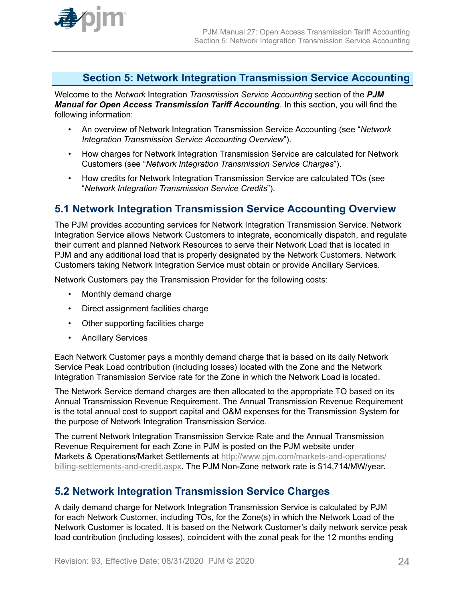<span id="page-23-0"></span>

# **Section 5: Network Integration Transmission Service Accounting**

Welcome to the *Network* Integration *Transmission Service Accounting* section of the *PJM Manual for Open Access Transmission Tariff Accounting*. In this section, you will find the following information:

- An overview of Network Integration Transmission Service Accounting (see "*Network Integration Transmission Service Accounting Overview*").
- How charges for Network Integration Transmission Service are calculated for Network Customers (see "*Network Integration Transmission Service Charges*").
- How credits for Network Integration Transmission Service are calculated TOs (see "*Network Integration Transmission Service Credits*").

# **5.1 Network Integration Transmission Service Accounting Overview**

The PJM provides accounting services for Network Integration Transmission Service. Network Integration Service allows Network Customers to integrate, economically dispatch, and regulate their current and planned Network Resources to serve their Network Load that is located in PJM and any additional load that is properly designated by the Network Customers. Network Customers taking Network Integration Service must obtain or provide Ancillary Services.

Network Customers pay the Transmission Provider for the following costs:

- Monthly demand charge
- Direct assignment facilities charge
- Other supporting facilities charge
- Ancillary Services

Each Network Customer pays a monthly demand charge that is based on its daily Network Service Peak Load contribution (including losses) located with the Zone and the Network Integration Transmission Service rate for the Zone in which the Network Load is located.

The Network Service demand charges are then allocated to the appropriate TO based on its Annual Transmission Revenue Requirement. The Annual Transmission Revenue Requirement is the total annual cost to support capital and O&M expenses for the Transmission System for the purpose of Network Integration Transmission Service.

The current Network Integration Transmission Service Rate and the Annual Transmission Revenue Requirement for each Zone in PJM is posted on the PJM website under Markets & Operations/Market Settlements at [http://www.pjm.com/markets-and-operations/](http://www.pjm.com/markets-and-operations/billing-settlements-and-credit.aspx) [billing-settlements-and-credit.aspx.](http://www.pjm.com/markets-and-operations/billing-settlements-and-credit.aspx) The PJM Non-Zone network rate is \$14,714/MW/year.

# **5.2 Network Integration Transmission Service Charges**

A daily demand charge for Network Integration Transmission Service is calculated by PJM for each Network Customer, including TOs, for the Zone(s) in which the Network Load of the Network Customer is located. It is based on the Network Customer's daily network service peak load contribution (including losses), coincident with the zonal peak for the 12 months ending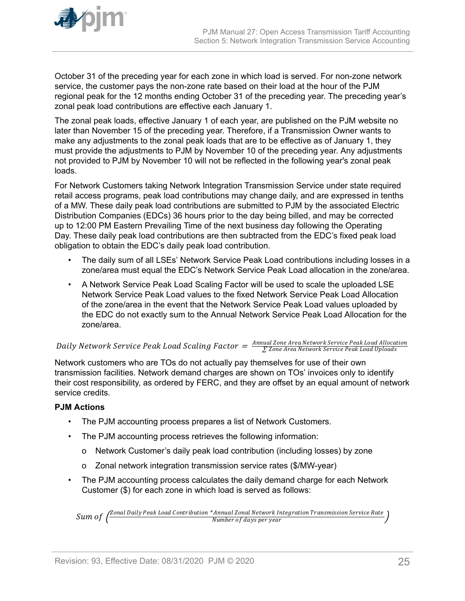

October 31 of the preceding year for each zone in which load is served. For non-zone network service, the customer pays the non-zone rate based on their load at the hour of the PJM regional peak for the 12 months ending October 31 of the preceding year. The preceding year's zonal peak load contributions are effective each January 1.

The zonal peak loads, effective January 1 of each year, are published on the PJM website no later than November 15 of the preceding year. Therefore, if a Transmission Owner wants to make any adjustments to the zonal peak loads that are to be effective as of January 1, they must provide the adjustments to PJM by November 10 of the preceding year. Any adjustments not provided to PJM by November 10 will not be reflected in the following year's zonal peak loads.

For Network Customers taking Network Integration Transmission Service under state required retail access programs, peak load contributions may change daily, and are expressed in tenths of a MW. These daily peak load contributions are submitted to PJM by the associated Electric Distribution Companies (EDCs) 36 hours prior to the day being billed, and may be corrected up to 12:00 PM Eastern Prevailing Time of the next business day following the Operating Day. These daily peak load contributions are then subtracted from the EDC's fixed peak load obligation to obtain the EDC's daily peak load contribution.

- The daily sum of all LSEs' Network Service Peak Load contributions including losses in a zone/area must equal the EDC's Network Service Peak Load allocation in the zone/area.
- A Network Service Peak Load Scaling Factor will be used to scale the uploaded LSE Network Service Peak Load values to the fixed Network Service Peak Load Allocation of the zone/area in the event that the Network Service Peak Load values uploaded by the EDC do not exactly sum to the Annual Network Service Peak Load Allocation for the zone/area.

# $Daily Network Service Peak$   $Loader = \frac{Annual\,Zone\,Area}$  Network Service Peak Load Scaling Factor  $= \frac{Annual\,Zone\,Area\,Network\,Service\,Peak\,Load\,Uboads}$

Network customers who are TOs do not actually pay themselves for use of their own transmission facilities. Network demand charges are shown on TOs' invoices only to identify their cost responsibility, as ordered by FERC, and they are offset by an equal amount of network service credits.

# **PJM Actions**

- The PJM accounting process prepares a list of Network Customers.
- The PJM accounting process retrieves the following information:
	- o Network Customer's daily peak load contribution (including losses) by zone
	- o Zonal network integration transmission service rates (\$/MW-year)
- The PJM accounting process calculates the daily demand charge for each Network Customer (\$) for each zone in which load is served as follows:

Sum of  $\left(\frac{Zonal$  Daily Peak Load Contribution \* Annual Zonal Network Integration Transmission Service Rate Number of days per year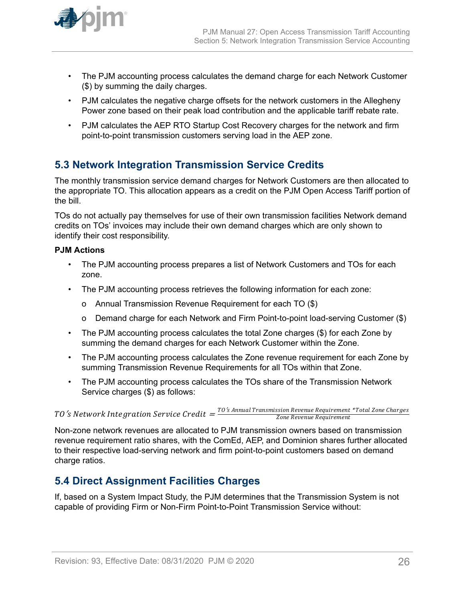<span id="page-25-0"></span>

- The PJM accounting process calculates the demand charge for each Network Customer (\$) by summing the daily charges.
- PJM calculates the negative charge offsets for the network customers in the Allegheny Power zone based on their peak load contribution and the applicable tariff rebate rate.
- PJM calculates the AEP RTO Startup Cost Recovery charges for the network and firm point-to-point transmission customers serving load in the AEP zone.

# **5.3 Network Integration Transmission Service Credits**

The monthly transmission service demand charges for Network Customers are then allocated to the appropriate TO. This allocation appears as a credit on the PJM Open Access Tariff portion of the bill.

TOs do not actually pay themselves for use of their own transmission facilities Network demand credits on TOs' invoices may include their own demand charges which are only shown to identify their cost responsibility.

# **PJM Actions**

- The PJM accounting process prepares a list of Network Customers and TOs for each zone.
- The PJM accounting process retrieves the following information for each zone:
	- o Annual Transmission Revenue Requirement for each TO (\$)
	- o Demand charge for each Network and Firm Point-to-point load-serving Customer (\$)
- The PJM accounting process calculates the total Zone charges (\$) for each Zone by summing the demand charges for each Network Customer within the Zone.
- The PJM accounting process calculates the Zone revenue requirement for each Zone by summing Transmission Revenue Requirements for all TOs within that Zone.
- The PJM accounting process calculates the TOs share of the Transmission Network Service charges (\$) as follows:

 $TO\,^\prime\!s$   $Network$   $Integration\,Service\, Credit = \frac{TO\,^\prime\!s\, Annual\,Transmission\,Revenue\,Regular\,Brenue\,Requirement} {Zone\,Chen}$ Zone Revenue Requirement

Non-zone network revenues are allocated to PJM transmission owners based on transmission revenue requirement ratio shares, with the ComEd, AEP, and Dominion shares further allocated to their respective load-serving network and firm point-to-point customers based on demand charge ratios.

# **5.4 Direct Assignment Facilities Charges**

If, based on a System Impact Study, the PJM determines that the Transmission System is not capable of providing Firm or Non-Firm Point-to-Point Transmission Service without: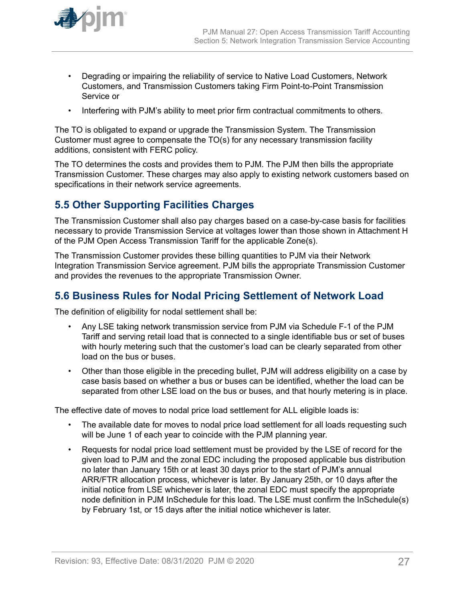- <span id="page-26-0"></span>• Degrading or impairing the reliability of service to Native Load Customers, Network Customers, and Transmission Customers taking Firm Point-to-Point Transmission Service or
- Interfering with PJM's ability to meet prior firm contractual commitments to others.

The TO is obligated to expand or upgrade the Transmission System. The Transmission Customer must agree to compensate the TO(s) for any necessary transmission facility additions, consistent with FERC policy.

The TO determines the costs and provides them to PJM. The PJM then bills the appropriate Transmission Customer. These charges may also apply to existing network customers based on specifications in their network service agreements.

# **5.5 Other Supporting Facilities Charges**

The Transmission Customer shall also pay charges based on a case-by-case basis for facilities necessary to provide Transmission Service at voltages lower than those shown in Attachment H of the PJM Open Access Transmission Tariff for the applicable Zone(s).

The Transmission Customer provides these billing quantities to PJM via their Network Integration Transmission Service agreement. PJM bills the appropriate Transmission Customer and provides the revenues to the appropriate Transmission Owner.

# **5.6 Business Rules for Nodal Pricing Settlement of Network Load**

The definition of eligibility for nodal settlement shall be:

- Any LSE taking network transmission service from PJM via Schedule F-1 of the PJM Tariff and serving retail load that is connected to a single identifiable bus or set of buses with hourly metering such that the customer's load can be clearly separated from other load on the bus or buses.
- Other than those eligible in the preceding bullet, PJM will address eligibility on a case by case basis based on whether a bus or buses can be identified, whether the load can be separated from other LSE load on the bus or buses, and that hourly metering is in place.

The effective date of moves to nodal price load settlement for ALL eligible loads is:

- The available date for moves to nodal price load settlement for all loads requesting such will be June 1 of each year to coincide with the PJM planning year.
- Requests for nodal price load settlement must be provided by the LSE of record for the given load to PJM and the zonal EDC including the proposed applicable bus distribution no later than January 15th or at least 30 days prior to the start of PJM's annual ARR/FTR allocation process, whichever is later. By January 25th, or 10 days after the initial notice from LSE whichever is later, the zonal EDC must specify the appropriate node definition in PJM InSchedule for this load. The LSE must confirm the InSchedule(s) by February 1st, or 15 days after the initial notice whichever is later.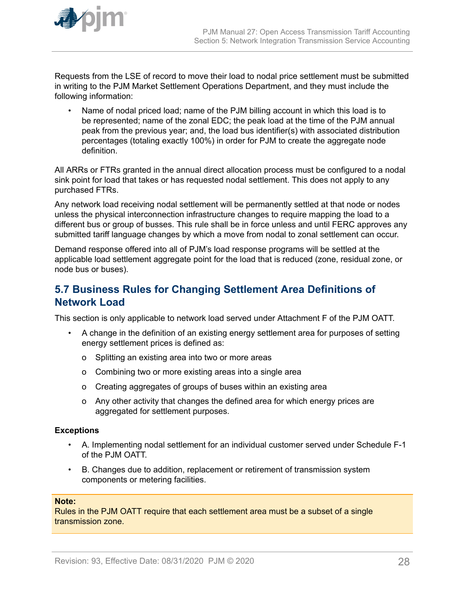<span id="page-27-0"></span>

Requests from the LSE of record to move their load to nodal price settlement must be submitted in writing to the PJM Market Settlement Operations Department, and they must include the following information:

• Name of nodal priced load; name of the PJM billing account in which this load is to be represented; name of the zonal EDC; the peak load at the time of the PJM annual peak from the previous year; and, the load bus identifier(s) with associated distribution percentages (totaling exactly 100%) in order for PJM to create the aggregate node definition.

All ARRs or FTRs granted in the annual direct allocation process must be configured to a nodal sink point for load that takes or has requested nodal settlement. This does not apply to any purchased FTRs.

Any network load receiving nodal settlement will be permanently settled at that node or nodes unless the physical interconnection infrastructure changes to require mapping the load to a different bus or group of busses. This rule shall be in force unless and until FERC approves any submitted tariff language changes by which a move from nodal to zonal settlement can occur.

Demand response offered into all of PJM's load response programs will be settled at the applicable load settlement aggregate point for the load that is reduced (zone, residual zone, or node bus or buses).

# **5.7 Business Rules for Changing Settlement Area Definitions of Network Load**

This section is only applicable to network load served under Attachment F of the PJM OATT.

- A change in the definition of an existing energy settlement area for purposes of setting energy settlement prices is defined as:
	- o Splitting an existing area into two or more areas
	- o Combining two or more existing areas into a single area
	- o Creating aggregates of groups of buses within an existing area
	- o Any other activity that changes the defined area for which energy prices are aggregated for settlement purposes.

# **Exceptions**

- A. Implementing nodal settlement for an individual customer served under Schedule F-1 of the PJM OATT.
- B. Changes due to addition, replacement or retirement of transmission system components or metering facilities.

### **Note:**

Rules in the PJM OATT require that each settlement area must be a subset of a single transmission zone.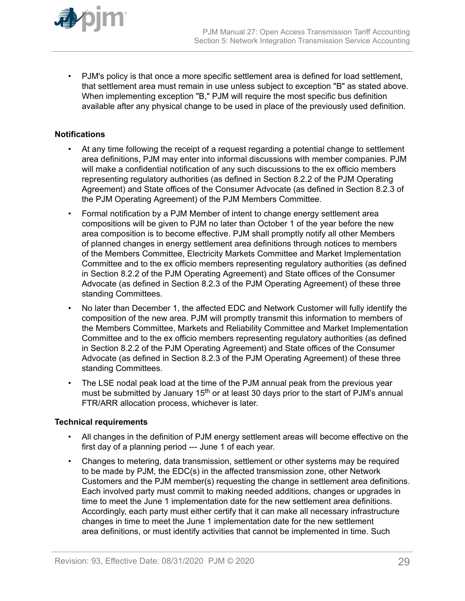

• PJM's policy is that once a more specific settlement area is defined for load settlement, that settlement area must remain in use unless subject to exception "B" as stated above. When implementing exception "B," PJM will require the most specific bus definition available after any physical change to be used in place of the previously used definition.

# **Notifications**

- At any time following the receipt of a request regarding a potential change to settlement area definitions, PJM may enter into informal discussions with member companies. PJM will make a confidential notification of any such discussions to the ex officio members representing regulatory authorities (as defined in Section 8.2.2 of the PJM Operating Agreement) and State offices of the Consumer Advocate (as defined in Section 8.2.3 of the PJM Operating Agreement) of the PJM Members Committee.
- Formal notification by a PJM Member of intent to change energy settlement area compositions will be given to PJM no later than October 1 of the year before the new area composition is to become effective. PJM shall promptly notify all other Members of planned changes in energy settlement area definitions through notices to members of the Members Committee, Electricity Markets Committee and Market Implementation Committee and to the ex officio members representing regulatory authorities (as defined in Section 8.2.2 of the PJM Operating Agreement) and State offices of the Consumer Advocate (as defined in Section 8.2.3 of the PJM Operating Agreement) of these three standing Committees.
- No later than December 1, the affected EDC and Network Customer will fully identify the composition of the new area. PJM will promptly transmit this information to members of the Members Committee, Markets and Reliability Committee and Market Implementation Committee and to the ex officio members representing regulatory authorities (as defined in Section 8.2.2 of the PJM Operating Agreement) and State offices of the Consumer Advocate (as defined in Section 8.2.3 of the PJM Operating Agreement) of these three standing Committees.
- The LSE nodal peak load at the time of the PJM annual peak from the previous year must be submitted by January 15<sup>th</sup> or at least 30 days prior to the start of PJM's annual FTR/ARR allocation process, whichever is later.

# **Technical requirements**

- All changes in the definition of PJM energy settlement areas will become effective on the first day of a planning period --- June 1 of each year.
- Changes to metering, data transmission, settlement or other systems may be required to be made by PJM, the EDC(s) in the affected transmission zone, other Network Customers and the PJM member(s) requesting the change in settlement area definitions. Each involved party must commit to making needed additions, changes or upgrades in time to meet the June 1 implementation date for the new settlement area definitions. Accordingly, each party must either certify that it can make all necessary infrastructure changes in time to meet the June 1 implementation date for the new settlement area definitions, or must identify activities that cannot be implemented in time. Such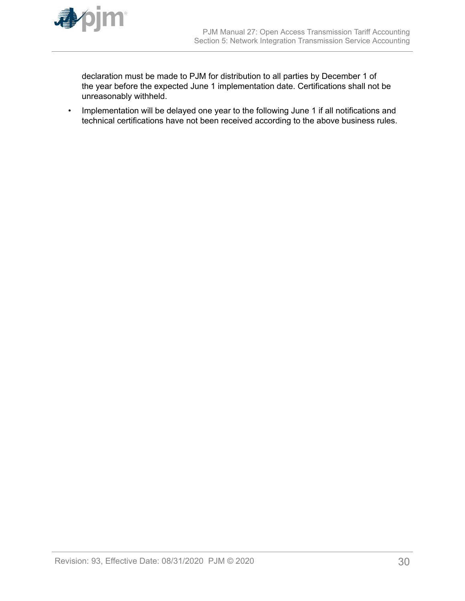

declaration must be made to PJM for distribution to all parties by December 1 of the year before the expected June 1 implementation date. Certifications shall not be unreasonably withheld.

• Implementation will be delayed one year to the following June 1 if all notifications and technical certifications have not been received according to the above business rules.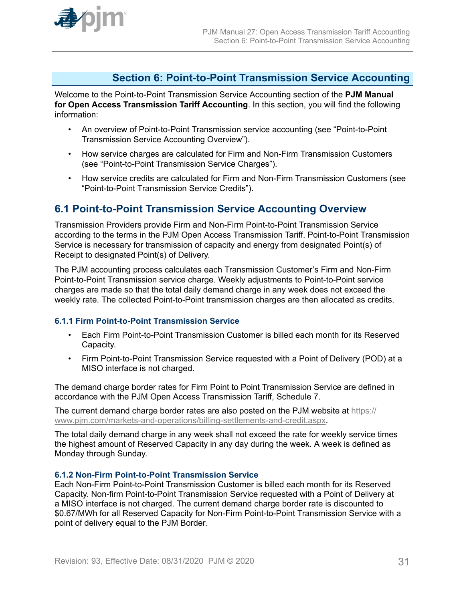<span id="page-30-0"></span>

# **Section 6: Point-to-Point Transmission Service Accounting**

Welcome to the Point-to-Point Transmission Service Accounting section of the **PJM Manual for Open Access Transmission Tariff Accounting**. In this section, you will find the following information:

- An overview of Point-to-Point Transmission service accounting (see "Point-to-Point Transmission Service Accounting Overview").
- How service charges are calculated for Firm and Non-Firm Transmission Customers (see "Point-to-Point Transmission Service Charges").
- How service credits are calculated for Firm and Non-Firm Transmission Customers (see "Point-to-Point Transmission Service Credits").

# **6.1 Point-to-Point Transmission Service Accounting Overview**

Transmission Providers provide Firm and Non-Firm Point-to-Point Transmission Service according to the terms in the PJM Open Access Transmission Tariff. Point-to-Point Transmission Service is necessary for transmission of capacity and energy from designated Point(s) of Receipt to designated Point(s) of Delivery.

The PJM accounting process calculates each Transmission Customer's Firm and Non-Firm Point-to-Point Transmission service charge. Weekly adjustments to Point-to-Point service charges are made so that the total daily demand charge in any week does not exceed the weekly rate. The collected Point-to-Point transmission charges are then allocated as credits.

# **6.1.1 Firm Point-to-Point Transmission Service**

- Each Firm Point-to-Point Transmission Customer is billed each month for its Reserved Capacity.
- Firm Point-to-Point Transmission Service requested with a Point of Delivery (POD) at a MISO interface is not charged.

The demand charge border rates for Firm Point to Point Transmission Service are defined in accordance with the PJM Open Access Transmission Tariff, Schedule 7.

The current demand charge border rates are also posted on the PJM website at [https://](https://www.pjm.com/markets-and-operations/billing-settlements-and-credit.aspx) [www.pjm.com/markets-and-operations/billing-settlements-and-credit.aspx](https://www.pjm.com/markets-and-operations/billing-settlements-and-credit.aspx).

The total daily demand charge in any week shall not exceed the rate for weekly service times the highest amount of Reserved Capacity in any day during the week. A week is defined as Monday through Sunday.

# **6.1.2 Non-Firm Point-to-Point Transmission Service**

Each Non-Firm Point-to-Point Transmission Customer is billed each month for its Reserved Capacity. Non-firm Point-to-Point Transmission Service requested with a Point of Delivery at a MISO interface is not charged. The current demand charge border rate is discounted to \$0.67/MWh for all Reserved Capacity for Non-Firm Point-to-Point Transmission Service with a point of delivery equal to the PJM Border.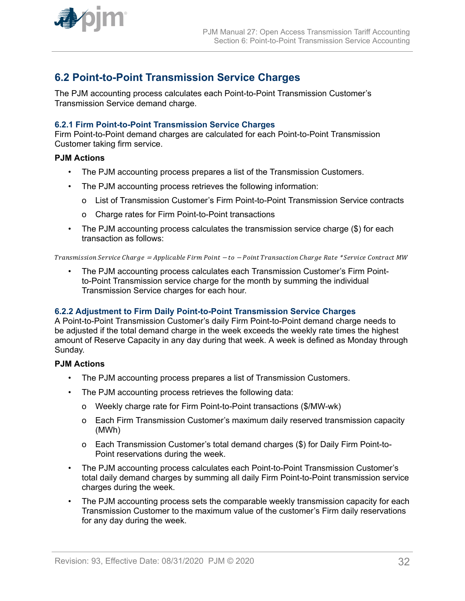<span id="page-31-0"></span>

# **6.2 Point-to-Point Transmission Service Charges**

The PJM accounting process calculates each Point-to-Point Transmission Customer's Transmission Service demand charge.

# **6.2.1 Firm Point-to-Point Transmission Service Charges**

Firm Point-to-Point demand charges are calculated for each Point-to-Point Transmission Customer taking firm service.

### **PJM Actions**

- The PJM accounting process prepares a list of the Transmission Customers.
- The PJM accounting process retrieves the following information:
	- o List of Transmission Customer's Firm Point-to-Point Transmission Service contracts
	- o Charge rates for Firm Point-to-Point transactions
- The PJM accounting process calculates the transmission service charge (\$) for each transaction as follows:

Transmission Service Cℎarge <sup>=</sup> Applicable Firm Point <sup>−</sup> to <sup>−</sup> Point Transaction Cℎarge Rate \* Service Contract MW

• The PJM accounting process calculates each Transmission Customer's Firm Pointto-Point Transmission service charge for the month by summing the individual Transmission Service charges for each hour.

### **6.2.2 Adjustment to Firm Daily Point-to-Point Transmission Service Charges**

A Point-to-Point Transmission Customer's daily Firm Point-to-Point demand charge needs to be adjusted if the total demand charge in the week exceeds the weekly rate times the highest amount of Reserve Capacity in any day during that week. A week is defined as Monday through Sunday.

### **PJM Actions**

- The PJM accounting process prepares a list of Transmission Customers.
- The PJM accounting process retrieves the following data:
	- o Weekly charge rate for Firm Point-to-Point transactions (\$/MW-wk)
	- o Each Firm Transmission Customer's maximum daily reserved transmission capacity (MWh)
	- o Each Transmission Customer's total demand charges (\$) for Daily Firm Point-to-Point reservations during the week.
- The PJM accounting process calculates each Point-to-Point Transmission Customer's total daily demand charges by summing all daily Firm Point-to-Point transmission service charges during the week.
- The PJM accounting process sets the comparable weekly transmission capacity for each Transmission Customer to the maximum value of the customer's Firm daily reservations for any day during the week.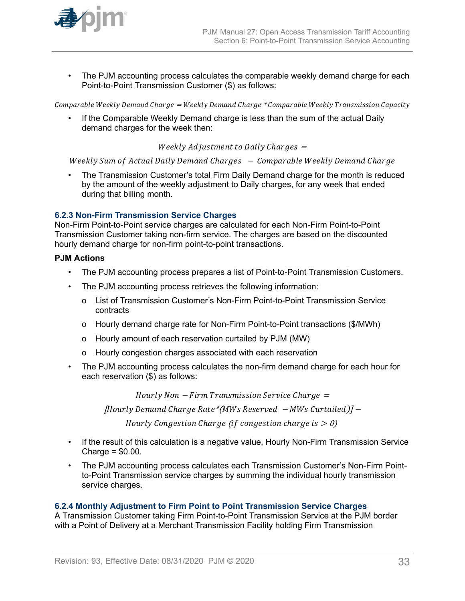<span id="page-32-0"></span>

• The PJM accounting process calculates the comparable weekly demand charge for each Point-to-Point Transmission Customer (\$) as follows:

Comparable Weekly Demand Charge = Weekly Demand Charge \* Comparable Weekly Transmission Capacity

If the Comparable Weekly Demand charge is less than the sum of the actual Daily demand charges for the week then:

Weekly Adjustment to Daily Charges  $=$ 

Weekly Sum of Actual Daily Demand Charges - Comparable Weekly Demand Charge

• The Transmission Customer's total Firm Daily Demand charge for the month is reduced by the amount of the weekly adjustment to Daily charges, for any week that ended during that billing month.

### **6.2.3 Non-Firm Transmission Service Charges**

Non-Firm Point-to-Point service charges are calculated for each Non-Firm Point-to-Point Transmission Customer taking non-firm service. The charges are based on the discounted hourly demand charge for non-firm point-to-point transactions.

### **PJM Actions**

- The PJM accounting process prepares a list of Point-to-Point Transmission Customers.
- The PJM accounting process retrieves the following information:
	- o List of Transmission Customer's Non-Firm Point-to-Point Transmission Service contracts
	- o Hourly demand charge rate for Non-Firm Point-to-Point transactions (\$/MWh)
	- o Hourly amount of each reservation curtailed by PJM (MW)
	- o Hourly congestion charges associated with each reservation
- The PJM accounting process calculates the non-firm demand charge for each hour for each reservation (\$) as follows:

 $Hourly Non-Firm Transmission Service Charge =$ 

Hourly Demand Cℎarge Rate\* MWs Reserved <sup>−</sup> MWs Curtailed <sup>−</sup>

Hourly Congestion Charge (if congestion charge is  $> 0$ )

- If the result of this calculation is a negative value, Hourly Non-Firm Transmission Service Charge = \$0.00.
- The PJM accounting process calculates each Transmission Customer's Non-Firm Pointto-Point Transmission service charges by summing the individual hourly transmission service charges.

### **6.2.4 Monthly Adjustment to Firm Point to Point Transmission Service Charges**

A Transmission Customer taking Firm Point-to-Point Transmission Service at the PJM border with a Point of Delivery at a Merchant Transmission Facility holding Firm Transmission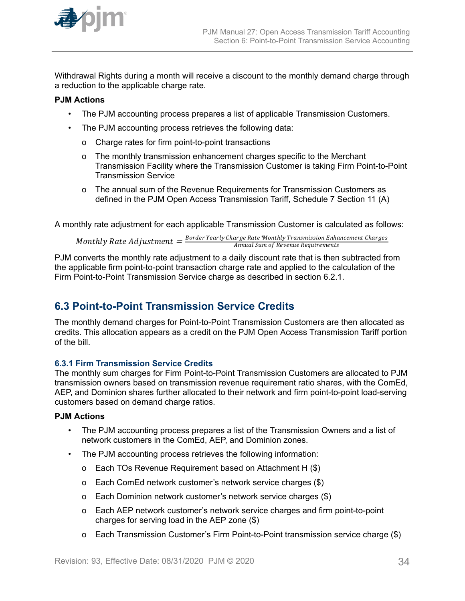<span id="page-33-0"></span>

Withdrawal Rights during a month will receive a discount to the monthly demand charge through a reduction to the applicable charge rate.

# **PJM Actions**

- The PJM accounting process prepares a list of applicable Transmission Customers.
- The PJM accounting process retrieves the following data:
	- o Charge rates for firm point-to-point transactions
	- o The monthly transmission enhancement charges specific to the Merchant Transmission Facility where the Transmission Customer is taking Firm Point-to-Point Transmission Service
	- o The annual sum of the Revenue Requirements for Transmission Customers as defined in the PJM Open Access Transmission Tariff, Schedule 7 Section 11 (A)

A monthly rate adjustment for each applicable Transmission Customer is calculated as follows:

Monthly Rate Adjustment  $=\frac{Border\,Year}$ Charge Rate\*Monthly Transmission Enhancement Charges<br>Annual Sum of Revenue Requirements Annual Sum of Revenue Requirements

PJM converts the monthly rate adjustment to a daily discount rate that is then subtracted from the applicable firm point-to-point transaction charge rate and applied to the calculation of the Firm Point-to-Point Transmission Service charge as described in section 6.2.1.

# **6.3 Point-to-Point Transmission Service Credits**

The monthly demand charges for Point-to-Point Transmission Customers are then allocated as credits. This allocation appears as a credit on the PJM Open Access Transmission Tariff portion of the bill.

# **6.3.1 Firm Transmission Service Credits**

The monthly sum charges for Firm Point-to-Point Transmission Customers are allocated to PJM transmission owners based on transmission revenue requirement ratio shares, with the ComEd, AEP, and Dominion shares further allocated to their network and firm point-to-point load-serving customers based on demand charge ratios.

# **PJM Actions**

- The PJM accounting process prepares a list of the Transmission Owners and a list of network customers in the ComEd, AEP, and Dominion zones.
- The PJM accounting process retrieves the following information:
	- o Each TOs Revenue Requirement based on Attachment H (\$)
	- o Each ComEd network customer's network service charges (\$)
	- o Each Dominion network customer's network service charges (\$)
	- o Each AEP network customer's network service charges and firm point-to-point charges for serving load in the AEP zone (\$)
	- o Each Transmission Customer's Firm Point-to-Point transmission service charge (\$)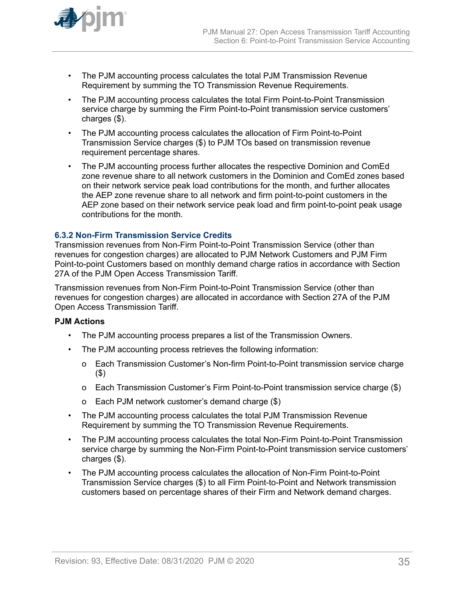<span id="page-34-0"></span>

- The PJM accounting process calculates the total PJM Transmission Revenue Requirement by summing the TO Transmission Revenue Requirements.
- The PJM accounting process calculates the total Firm Point-to-Point Transmission service charge by summing the Firm Point-to-Point transmission service customers' charges (\$).
- The PJM accounting process calculates the allocation of Firm Point-to-Point Transmission Service charges (\$) to PJM TOs based on transmission revenue requirement percentage shares.
- The PJM accounting process further allocates the respective Dominion and ComEd zone revenue share to all network customers in the Dominion and ComEd zones based on their network service peak load contributions for the month, and further allocates the AEP zone revenue share to all network and firm point-to-point customers in the AEP zone based on their network service peak load and firm point-to-point peak usage contributions for the month.

### **6.3.2 Non-Firm Transmission Service Credits**

Transmission revenues from Non-Firm Point-to-Point Transmission Service (other than revenues for congestion charges) are allocated to PJM Network Customers and PJM Firm Point-to-point Customers based on monthly demand charge ratios in accordance with Section 27A of the PJM Open Access Transmission Tariff.

Transmission revenues from Non-Firm Point-to-Point Transmission Service (other than revenues for congestion charges) are allocated in accordance with Section 27A of the PJM Open Access Transmission Tariff.

# **PJM Actions**

- The PJM accounting process prepares a list of the Transmission Owners.
- The PJM accounting process retrieves the following information:
	- o Each Transmission Customer's Non-firm Point-to-Point transmission service charge (\$)
	- o Each Transmission Customer's Firm Point-to-Point transmission service charge (\$)
	- o Each PJM network customer's demand charge (\$)
- The PJM accounting process calculates the total PJM Transmission Revenue Requirement by summing the TO Transmission Revenue Requirements.
- The PJM accounting process calculates the total Non-Firm Point-to-Point Transmission service charge by summing the Non-Firm Point-to-Point transmission service customers' charges (\$).
- The PJM accounting process calculates the allocation of Non-Firm Point-to-Point Transmission Service charges (\$) to all Firm Point-to-Point and Network transmission customers based on percentage shares of their Firm and Network demand charges.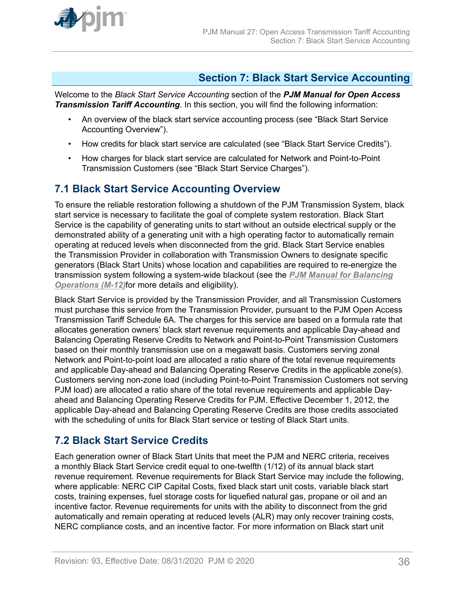<span id="page-35-0"></span>

# **Section 7: Black Start Service Accounting**

Welcome to the *Black Start Service Accounting* section of the *PJM Manual for Open Access Transmission Tariff Accounting*. In this section, you will find the following information:

- An overview of the black start service accounting process (see "Black Start Service Accounting Overview").
- How credits for black start service are calculated (see "Black Start Service Credits").
- How charges for black start service are calculated for Network and Point-to-Point Transmission Customers (see "Black Start Service Charges").

# **7.1 Black Start Service Accounting Overview**

To ensure the reliable restoration following a shutdown of the PJM Transmission System, black start service is necessary to facilitate the goal of complete system restoration. Black Start Service is the capability of generating units to start without an outside electrical supply or the demonstrated ability of a generating unit with a high operating factor to automatically remain operating at reduced levels when disconnected from the grid. Black Start Service enables the Transmission Provider in collaboration with Transmission Owners to designate specific generators (Black Start Units) whose location and capabilities are required to re-energize the transmission system following a system-wide blackout (see the *[PJM Manual for Balancing](http://www.pjm.com/~/media/documents/manuals/m12.ashx) [Operations \(M-12\)](http://www.pjm.com/~/media/documents/manuals/m12.ashx)*for more details and eligibility).

Black Start Service is provided by the Transmission Provider, and all Transmission Customers must purchase this service from the Transmission Provider, pursuant to the PJM Open Access Transmission Tariff Schedule 6A. The charges for this service are based on a formula rate that allocates generation owners' black start revenue requirements and applicable Day-ahead and Balancing Operating Reserve Credits to Network and Point-to-Point Transmission Customers based on their monthly transmission use on a megawatt basis. Customers serving zonal Network and Point-to-point load are allocated a ratio share of the total revenue requirements and applicable Day-ahead and Balancing Operating Reserve Credits in the applicable zone(s). Customers serving non-zone load (including Point-to-Point Transmission Customers not serving PJM load) are allocated a ratio share of the total revenue requirements and applicable Dayahead and Balancing Operating Reserve Credits for PJM. Effective December 1, 2012, the applicable Day-ahead and Balancing Operating Reserve Credits are those credits associated with the scheduling of units for Black Start service or testing of Black Start units.

# **7.2 Black Start Service Credits**

Each generation owner of Black Start Units that meet the PJM and NERC criteria, receives a monthly Black Start Service credit equal to one-twelfth (1/12) of its annual black start revenue requirement. Revenue requirements for Black Start Service may include the following, where applicable: NERC CIP Capital Costs, fixed black start unit costs, variable black start costs, training expenses, fuel storage costs for liquefied natural gas, propane or oil and an incentive factor. Revenue requirements for units with the ability to disconnect from the grid automatically and remain operating at reduced levels (ALR) may only recover training costs, NERC compliance costs, and an incentive factor. For more information on Black start unit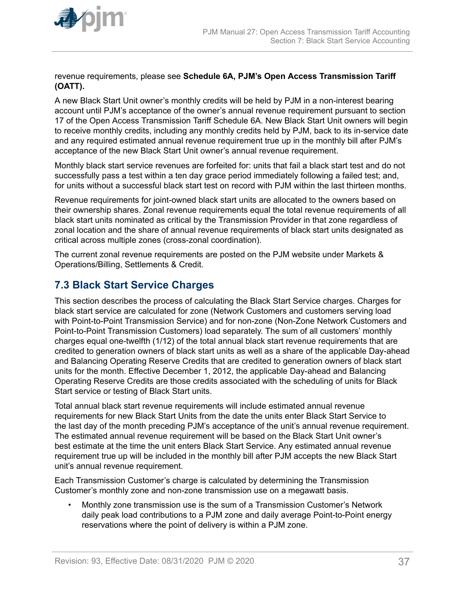<span id="page-36-0"></span>

revenue requirements, please see **Schedule 6A, PJM's Open Access Transmission Tariff (OATT).**

A new Black Start Unit owner's monthly credits will be held by PJM in a non-interest bearing account until PJM's acceptance of the owner's annual revenue requirement pursuant to section 17 of the Open Access Transmission Tariff Schedule 6A. New Black Start Unit owners will begin to receive monthly credits, including any monthly credits held by PJM, back to its in-service date and any required estimated annual revenue requirement true up in the monthly bill after PJM's acceptance of the new Black Start Unit owner's annual revenue requirement.

Monthly black start service revenues are forfeited for: units that fail a black start test and do not successfully pass a test within a ten day grace period immediately following a failed test; and, for units without a successful black start test on record with PJM within the last thirteen months.

Revenue requirements for joint-owned black start units are allocated to the owners based on their ownership shares. Zonal revenue requirements equal the total revenue requirements of all black start units nominated as critical by the Transmission Provider in that zone regardless of zonal location and the share of annual revenue requirements of black start units designated as critical across multiple zones (cross-zonal coordination).

The current zonal revenue requirements are posted on the PJM website under Markets & Operations/Billing, Settlements & Credit.

# **7.3 Black Start Service Charges**

This section describes the process of calculating the Black Start Service charges. Charges for black start service are calculated for zone (Network Customers and customers serving load with Point-to-Point Transmission Service) and for non-zone (Non-Zone Network Customers and Point-to-Point Transmission Customers) load separately. The sum of all customers' monthly charges equal one-twelfth (1/12) of the total annual black start revenue requirements that are credited to generation owners of black start units as well as a share of the applicable Day-ahead and Balancing Operating Reserve Credits that are credited to generation owners of black start units for the month. Effective December 1, 2012, the applicable Day-ahead and Balancing Operating Reserve Credits are those credits associated with the scheduling of units for Black Start service or testing of Black Start units.

Total annual black start revenue requirements will include estimated annual revenue requirements for new Black Start Units from the date the units enter Black Start Service to the last day of the month preceding PJM's acceptance of the unit's annual revenue requirement. The estimated annual revenue requirement will be based on the Black Start Unit owner's best estimate at the time the unit enters Black Start Service. Any estimated annual revenue requirement true up will be included in the monthly bill after PJM accepts the new Black Start unit's annual revenue requirement.

Each Transmission Customer's charge is calculated by determining the Transmission Customer's monthly zone and non-zone transmission use on a megawatt basis.

• Monthly zone transmission use is the sum of a Transmission Customer's Network daily peak load contributions to a PJM zone and daily average Point-to-Point energy reservations where the point of delivery is within a PJM zone.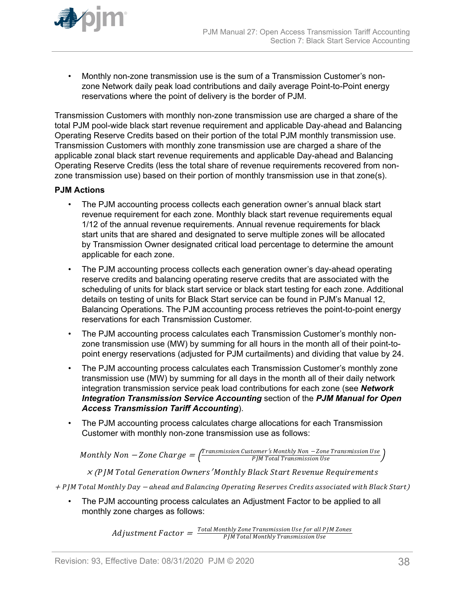

• Monthly non-zone transmission use is the sum of a Transmission Customer's nonzone Network daily peak load contributions and daily average Point-to-Point energy reservations where the point of delivery is the border of PJM.

Transmission Customers with monthly non-zone transmission use are charged a share of the total PJM pool-wide black start revenue requirement and applicable Day-ahead and Balancing Operating Reserve Credits based on their portion of the total PJM monthly transmission use. Transmission Customers with monthly zone transmission use are charged a share of the applicable zonal black start revenue requirements and applicable Day-ahead and Balancing Operating Reserve Credits (less the total share of revenue requirements recovered from nonzone transmission use) based on their portion of monthly transmission use in that zone(s).

# **PJM Actions**

- The PJM accounting process collects each generation owner's annual black start revenue requirement for each zone. Monthly black start revenue requirements equal 1/12 of the annual revenue requirements. Annual revenue requirements for black start units that are shared and designated to serve multiple zones will be allocated by Transmission Owner designated critical load percentage to determine the amount applicable for each zone.
- The PJM accounting process collects each generation owner's day-ahead operating reserve credits and balancing operating reserve credits that are associated with the scheduling of units for black start service or black start testing for each zone. Additional details on testing of units for Black Start service can be found in PJM's Manual 12, Balancing Operations. The PJM accounting process retrieves the point-to-point energy reservations for each Transmission Customer.
- The PJM accounting process calculates each Transmission Customer's monthly nonzone transmission use (MW) by summing for all hours in the month all of their point-topoint energy reservations (adjusted for PJM curtailments) and dividing that value by 24.
- The PJM accounting process calculates each Transmission Customer's monthly zone transmission use (MW) by summing for all days in the month all of their daily network integration transmission service peak load contributions for each zone (see *Network Integration Transmission Service Accounting* section of the *PJM Manual for Open Access Transmission Tariff Accounting*).
- The PJM accounting process calculates charge allocations for each Transmission Customer with monthly non-zone transmission use as follows:

 $\emph{Monthly Non}-\emph{Zone Charge}=\frac{\emph{Transmission Customer's Monthly Non}-\emph{Zone Transmission Use}}{\emph{PIM Total Transmission Use}}$ PJM Total Transmission Use

 $\times$  (PJM Total Generation Owners' Monthly Black Start Revenue Requirements

<sup>+</sup>PJM Total Montℎly Day <sup>−</sup> aℎead and Balancing Operating Reserves Credits associated witℎ Black Start)

• The PJM accounting process calculates an Adjustment Factor to be applied to all monthly zone charges as follows:

> $\emph{Adjustument Factor} = \frac{\emph{Total Monthly} \emph{Zone} \emph{Transmission Use} \emph{for all PJM} \emph{Zones}}{\emph{PJM Total Monthly} \emph{Transmission Use}}$ PJM Total Montℎly Transmission Use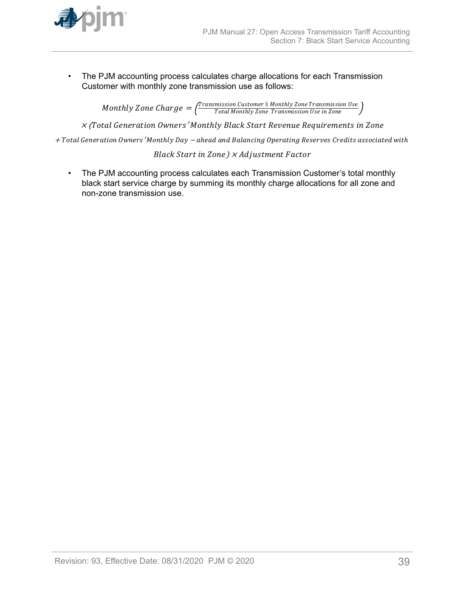

• The PJM accounting process calculates charge allocations for each Transmission Customer with monthly zone transmission use as follows:

> $\emph{Monthly}$   $\emph{Zone}$   $\emph{Charge} = \frac{\emph{Transmission Customer's Monthly} }{\emph{Total Monthly} }$   $\emph{Zone}$   $\emph{Transmission Use in}$   $\emph{Zone}$ Total Montℎly Zone Transmission Use in Zone

<sup>×</sup> (Total Generation Owners′ Montℎly Black Start Revenue Requirements in Zone

<sup>+</sup>Total Generation Owners′ Montℎly Day <sup>−</sup> aℎead and Balancing Operating Reserves Credits associated witℎ

Black Start in Zone)  $\times$  Ad justment Factor

• The PJM accounting process calculates each Transmission Customer's total monthly black start service charge by summing its monthly charge allocations for all zone and non-zone transmission use.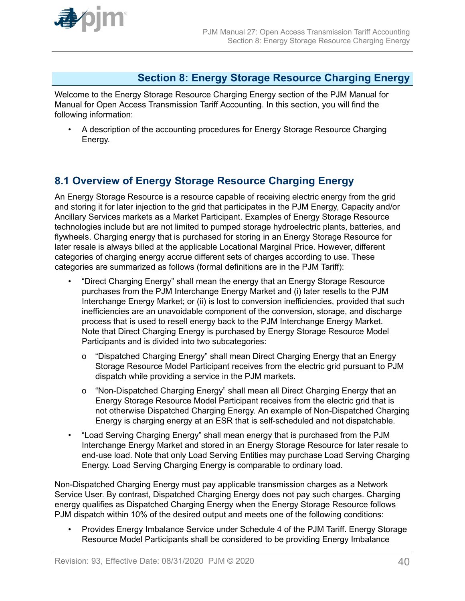<span id="page-39-0"></span>

# **Section 8: Energy Storage Resource Charging Energy**

Welcome to the Energy Storage Resource Charging Energy section of the PJM Manual for Manual for Open Access Transmission Tariff Accounting. In this section, you will find the following information:

• A description of the accounting procedures for Energy Storage Resource Charging Energy.

# **8.1 Overview of Energy Storage Resource Charging Energy**

An Energy Storage Resource is a resource capable of receiving electric energy from the grid and storing it for later injection to the grid that participates in the PJM Energy, Capacity and/or Ancillary Services markets as a Market Participant. Examples of Energy Storage Resource technologies include but are not limited to pumped storage hydroelectric plants, batteries, and flywheels. Charging energy that is purchased for storing in an Energy Storage Resource for later resale is always billed at the applicable Locational Marginal Price. However, different categories of charging energy accrue different sets of charges according to use. These categories are summarized as follows (formal definitions are in the PJM Tariff):

- "Direct Charging Energy" shall mean the energy that an Energy Storage Resource purchases from the PJM Interchange Energy Market and (i) later resells to the PJM Interchange Energy Market; or (ii) is lost to conversion inefficiencies, provided that such inefficiencies are an unavoidable component of the conversion, storage, and discharge process that is used to resell energy back to the PJM Interchange Energy Market. Note that Direct Charging Energy is purchased by Energy Storage Resource Model Participants and is divided into two subcategories:
	- o "Dispatched Charging Energy" shall mean Direct Charging Energy that an Energy Storage Resource Model Participant receives from the electric grid pursuant to PJM dispatch while providing a service in the PJM markets.
	- o "Non-Dispatched Charging Energy" shall mean all Direct Charging Energy that an Energy Storage Resource Model Participant receives from the electric grid that is not otherwise Dispatched Charging Energy. An example of Non-Dispatched Charging Energy is charging energy at an ESR that is self-scheduled and not dispatchable.
- "Load Serving Charging Energy" shall mean energy that is purchased from the PJM Interchange Energy Market and stored in an Energy Storage Resource for later resale to end-use load. Note that only Load Serving Entities may purchase Load Serving Charging Energy. Load Serving Charging Energy is comparable to ordinary load.

Non-Dispatched Charging Energy must pay applicable transmission charges as a Network Service User. By contrast, Dispatched Charging Energy does not pay such charges. Charging energy qualifies as Dispatched Charging Energy when the Energy Storage Resource follows PJM dispatch within 10% of the desired output and meets one of the following conditions:

• Provides Energy Imbalance Service under Schedule 4 of the PJM Tariff. Energy Storage Resource Model Participants shall be considered to be providing Energy Imbalance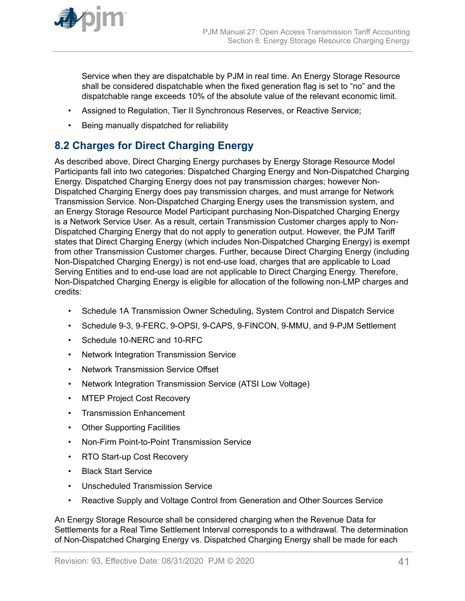<span id="page-40-0"></span>

Service when they are dispatchable by PJM in real time. An Energy Storage Resource shall be considered dispatchable when the fixed generation flag is set to "no" and the dispatchable range exceeds 10% of the absolute value of the relevant economic limit.

- Assigned to Regulation, Tier II Synchronous Reserves, or Reactive Service;
- Being manually dispatched for reliability

# **8.2 Charges for Direct Charging Energy**

As described above, Direct Charging Energy purchases by Energy Storage Resource Model Participants fall into two categories: Dispatched Charging Energy and Non-Dispatched Charging Energy. Dispatched Charging Energy does not pay transmission charges; however Non-Dispatched Charging Energy does pay transmission charges, and must arrange for Network Transmission Service. Non-Dispatched Charging Energy uses the transmission system, and an Energy Storage Resource Model Participant purchasing Non-Dispatched Charging Energy is a Network Service User. As a result, certain Transmission Customer charges apply to Non-Dispatched Charging Energy that do not apply to generation output. However, the PJM Tariff states that Direct Charging Energy (which includes Non-Dispatched Charging Energy) is exempt from other Transmission Customer charges. Further, because Direct Charging Energy (including Non-Dispatched Charging Energy) is not end-use load, charges that are applicable to Load Serving Entities and to end-use load are not applicable to Direct Charging Energy. Therefore, Non-Dispatched Charging Energy is eligible for allocation of the following non-LMP charges and credits:

- Schedule 1A Transmission Owner Scheduling, System Control and Dispatch Service
- Schedule 9-3, 9-FERC, 9-OPSI, 9-CAPS, 9-FINCON, 9-MMU, and 9-PJM Settlement
- Schedule 10-NERC and 10-RFC
- Network Integration Transmission Service
- Network Transmission Service Offset
- Network Integration Transmission Service (ATSI Low Voltage)
- MTEP Project Cost Recovery
- Transmission Enhancement
- Other Supporting Facilities
- Non-Firm Point-to-Point Transmission Service
- RTO Start-up Cost Recovery
- Black Start Service
- Unscheduled Transmission Service
- Reactive Supply and Voltage Control from Generation and Other Sources Service

An Energy Storage Resource shall be considered charging when the Revenue Data for Settlements for a Real Time Settlement Interval corresponds to a withdrawal. The determination of Non-Dispatched Charging Energy vs. Dispatched Charging Energy shall be made for each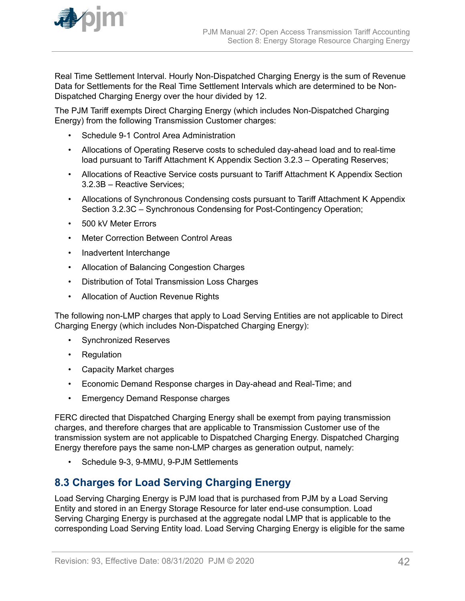<span id="page-41-0"></span>

Real Time Settlement Interval. Hourly Non-Dispatched Charging Energy is the sum of Revenue Data for Settlements for the Real Time Settlement Intervals which are determined to be Non-Dispatched Charging Energy over the hour divided by 12.

The PJM Tariff exempts Direct Charging Energy (which includes Non-Dispatched Charging Energy) from the following Transmission Customer charges:

- Schedule 9-1 Control Area Administration
- Allocations of Operating Reserve costs to scheduled day-ahead load and to real-time load pursuant to Tariff Attachment K Appendix Section 3.2.3 – Operating Reserves;
- Allocations of Reactive Service costs pursuant to Tariff Attachment K Appendix Section 3.2.3B – Reactive Services;
- Allocations of Synchronous Condensing costs pursuant to Tariff Attachment K Appendix Section 3.2.3C – Synchronous Condensing for Post-Contingency Operation;
- 500 kV Meter Errors
- **Meter Correction Between Control Areas**
- Inadvertent Interchange
- Allocation of Balancing Congestion Charges
- Distribution of Total Transmission Loss Charges
- Allocation of Auction Revenue Rights

The following non-LMP charges that apply to Load Serving Entities are not applicable to Direct Charging Energy (which includes Non-Dispatched Charging Energy):

- Synchronized Reserves
- Regulation
- Capacity Market charges
- Economic Demand Response charges in Day-ahead and Real-Time; and
- Emergency Demand Response charges

FERC directed that Dispatched Charging Energy shall be exempt from paying transmission charges, and therefore charges that are applicable to Transmission Customer use of the transmission system are not applicable to Dispatched Charging Energy. Dispatched Charging Energy therefore pays the same non-LMP charges as generation output, namely:

• Schedule 9-3, 9-MMU, 9-PJM Settlements

# **8.3 Charges for Load Serving Charging Energy**

Load Serving Charging Energy is PJM load that is purchased from PJM by a Load Serving Entity and stored in an Energy Storage Resource for later end-use consumption. Load Serving Charging Energy is purchased at the aggregate nodal LMP that is applicable to the corresponding Load Serving Entity load. Load Serving Charging Energy is eligible for the same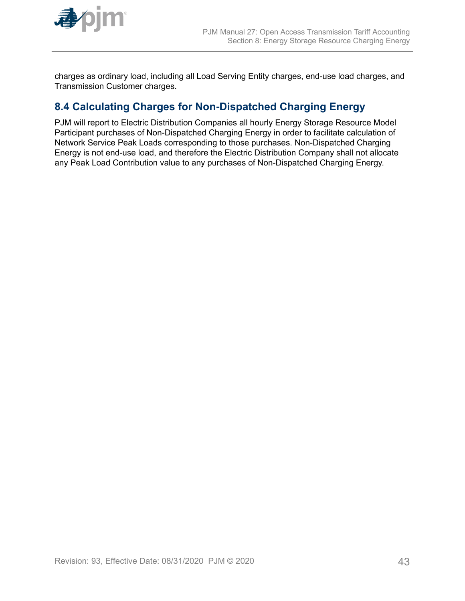<span id="page-42-0"></span>

charges as ordinary load, including all Load Serving Entity charges, end-use load charges, and Transmission Customer charges.

# **8.4 Calculating Charges for Non-Dispatched Charging Energy**

PJM will report to Electric Distribution Companies all hourly Energy Storage Resource Model Participant purchases of Non-Dispatched Charging Energy in order to facilitate calculation of Network Service Peak Loads corresponding to those purchases. Non-Dispatched Charging Energy is not end-use load, and therefore the Electric Distribution Company shall not allocate any Peak Load Contribution value to any purchases of Non-Dispatched Charging Energy.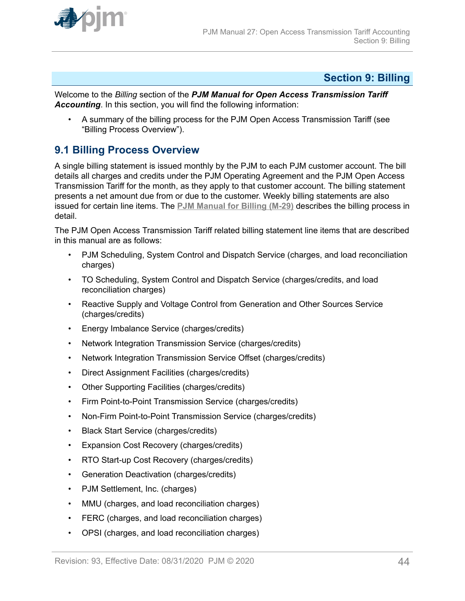<span id="page-43-0"></span>

# **Section 9: Billing**

Welcome to the *Billing* section of the *PJM Manual for Open Access Transmission Tariff Accounting*. In this section, you will find the following information:

• A summary of the billing process for the PJM Open Access Transmission Tariff (see "Billing Process Overview").

# **9.1 Billing Process Overview**

A single billing statement is issued monthly by the PJM to each PJM customer account. The bill details all charges and credits under the PJM Operating Agreement and the PJM Open Access Transmission Tariff for the month, as they apply to that customer account. The billing statement presents a net amount due from or due to the customer. Weekly billing statements are also issued for certain line items. The **[PJM Manual for Billing \(M-29\)](http://www.pjm.com/~/media/documents/manuals/m29.ashx)** describes the billing process in detail.

The PJM Open Access Transmission Tariff related billing statement line items that are described in this manual are as follows:

- PJM Scheduling, System Control and Dispatch Service (charges, and load reconciliation charges)
- TO Scheduling, System Control and Dispatch Service (charges/credits, and load reconciliation charges)
- Reactive Supply and Voltage Control from Generation and Other Sources Service (charges/credits)
- Energy Imbalance Service (charges/credits)
- Network Integration Transmission Service (charges/credits)
- Network Integration Transmission Service Offset (charges/credits)
- Direct Assignment Facilities (charges/credits)
- Other Supporting Facilities (charges/credits)
- Firm Point-to-Point Transmission Service (charges/credits)
- Non-Firm Point-to-Point Transmission Service (charges/credits)
- Black Start Service (charges/credits)
- Expansion Cost Recovery (charges/credits)
- RTO Start-up Cost Recovery (charges/credits)
- Generation Deactivation (charges/credits)
- PJM Settlement, Inc. (charges)
- MMU (charges, and load reconciliation charges)
- FERC (charges, and load reconciliation charges)
- OPSI (charges, and load reconciliation charges)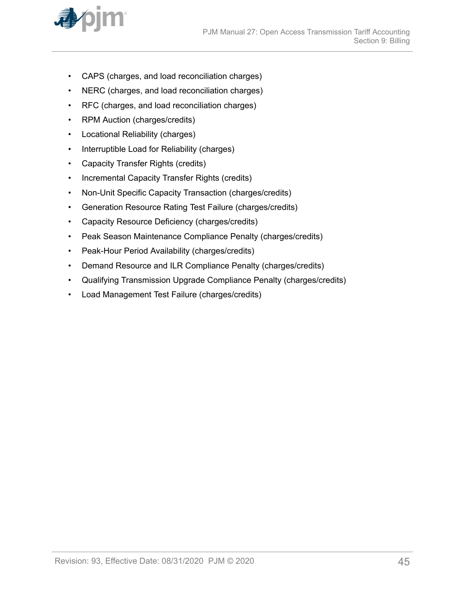

- CAPS (charges, and load reconciliation charges)
- NERC (charges, and load reconciliation charges)
- RFC (charges, and load reconciliation charges)
- RPM Auction (charges/credits)
- Locational Reliability (charges)
- Interruptible Load for Reliability (charges)
- Capacity Transfer Rights (credits)
- Incremental Capacity Transfer Rights (credits)
- Non-Unit Specific Capacity Transaction (charges/credits)
- Generation Resource Rating Test Failure (charges/credits)
- Capacity Resource Deficiency (charges/credits)
- Peak Season Maintenance Compliance Penalty (charges/credits)
- Peak-Hour Period Availability (charges/credits)
- Demand Resource and ILR Compliance Penalty (charges/credits)
- Qualifying Transmission Upgrade Compliance Penalty (charges/credits)
- Load Management Test Failure (charges/credits)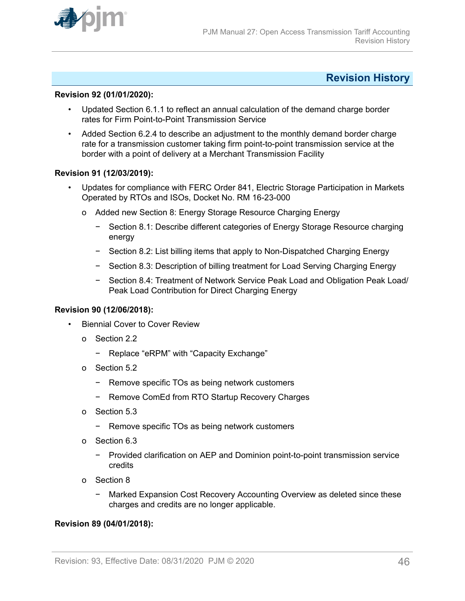<span id="page-45-0"></span>

# **Revision History**

### **Revision 92 (01/01/2020):**

- Updated Section 6.1.1 to reflect an annual calculation of the demand charge border rates for Firm Point-to-Point Transmission Service
- Added Section 6.2.4 to describe an adjustment to the monthly demand border charge rate for a transmission customer taking firm point-to-point transmission service at the border with a point of delivery at a Merchant Transmission Facility

### **Revision 91 (12/03/2019):**

- Updates for compliance with FERC Order 841, Electric Storage Participation in Markets Operated by RTOs and ISOs, Docket No. RM 16-23-000
	- o Added new Section 8: Energy Storage Resource Charging Energy
		- − Section 8.1: Describe different categories of Energy Storage Resource charging energy
		- − Section 8.2: List billing items that apply to Non-Dispatched Charging Energy
		- − Section 8.3: Description of billing treatment for Load Serving Charging Energy
		- − Section 8.4: Treatment of Network Service Peak Load and Obligation Peak Load/ Peak Load Contribution for Direct Charging Energy

### **Revision 90 (12/06/2018):**

- **Biennial Cover to Cover Review** 
	- o Section 2.2
		- − Replace "eRPM" with "Capacity Exchange"
	- o Section 5.2
		- − Remove specific TOs as being network customers
		- − Remove ComEd from RTO Startup Recovery Charges
	- o Section 5.3
		- − Remove specific TOs as being network customers
	- o Section 6.3
		- − Provided clarification on AEP and Dominion point-to-point transmission service credits
	- o Section 8
		- − Marked Expansion Cost Recovery Accounting Overview as deleted since these charges and credits are no longer applicable.

# **Revision 89 (04/01/2018):**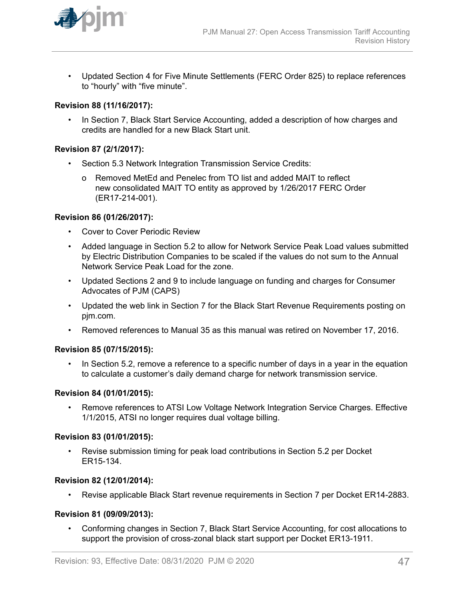

• Updated Section 4 for Five Minute Settlements (FERC Order 825) to replace references to "hourly" with "five minute".

# **Revision 88 (11/16/2017):**

• In Section 7, Black Start Service Accounting, added a description of how charges and credits are handled for a new Black Start unit.

## **Revision 87 (2/1/2017):**

- Section 5.3 Network Integration Transmission Service Credits:
	- o Removed MetEd and Penelec from TO list and added MAIT to reflect new consolidated MAIT TO entity as approved by 1/26/2017 FERC Order (ER17-214-001).

# **Revision 86 (01/26/2017):**

- Cover to Cover Periodic Review
- Added language in Section 5.2 to allow for Network Service Peak Load values submitted by Electric Distribution Companies to be scaled if the values do not sum to the Annual Network Service Peak Load for the zone.
- Updated Sections 2 and 9 to include language on funding and charges for Consumer Advocates of PJM (CAPS)
- Updated the web link in Section 7 for the Black Start Revenue Requirements posting on pjm.com.
- Removed references to Manual 35 as this manual was retired on November 17, 2016.

### **Revision 85 (07/15/2015):**

• In Section 5.2, remove a reference to a specific number of days in a year in the equation to calculate a customer's daily demand charge for network transmission service.

# **Revision 84 (01/01/2015):**

• Remove references to ATSI Low Voltage Network Integration Service Charges. Effective 1/1/2015, ATSI no longer requires dual voltage billing.

### **Revision 83 (01/01/2015):**

• Revise submission timing for peak load contributions in Section 5.2 per Docket ER15-134.

# **Revision 82 (12/01/2014):**

• Revise applicable Black Start revenue requirements in Section 7 per Docket ER14-2883.

### **Revision 81 (09/09/2013):**

• Conforming changes in Section 7, Black Start Service Accounting, for cost allocations to support the provision of cross-zonal black start support per Docket ER13-1911.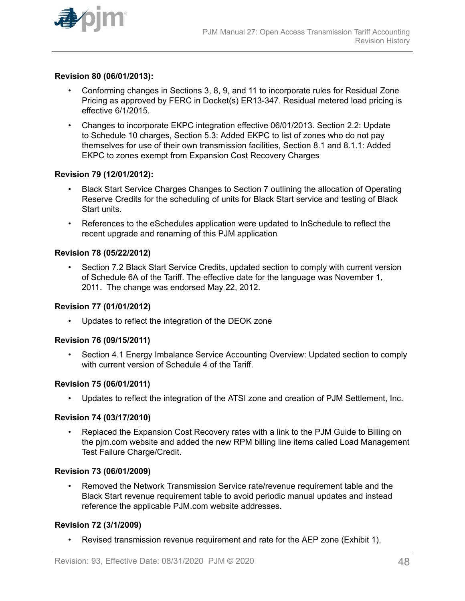

### **Revision 80 (06/01/2013):**

- Conforming changes in Sections 3, 8, 9, and 11 to incorporate rules for Residual Zone Pricing as approved by FERC in Docket(s) ER13-347. Residual metered load pricing is effective 6/1/2015.
- Changes to incorporate EKPC integration effective 06/01/2013. Section 2.2: Update to Schedule 10 charges, Section 5.3: Added EKPC to list of zones who do not pay themselves for use of their own transmission facilities, Section 8.1 and 8.1.1: Added EKPC to zones exempt from Expansion Cost Recovery Charges

### **Revision 79 (12/01/2012):**

- Black Start Service Charges Changes to Section 7 outlining the allocation of Operating Reserve Credits for the scheduling of units for Black Start service and testing of Black Start units.
- References to the eSchedules application were updated to InSchedule to reflect the recent upgrade and renaming of this PJM application

### **Revision 78 (05/22/2012)**

Section 7.2 Black Start Service Credits, updated section to comply with current version of Schedule 6A of the Tariff. The effective date for the language was November 1, 2011. The change was endorsed May 22, 2012.

### **Revision 77 (01/01/2012)**

• Updates to reflect the integration of the DEOK zone

### **Revision 76 (09/15/2011)**

• Section 4.1 Energy Imbalance Service Accounting Overview: Updated section to comply with current version of Schedule 4 of the Tariff.

### **Revision 75 (06/01/2011)**

• Updates to reflect the integration of the ATSI zone and creation of PJM Settlement, Inc.

### **Revision 74 (03/17/2010)**

• Replaced the Expansion Cost Recovery rates with a link to the PJM Guide to Billing on the pjm.com website and added the new RPM billing line items called Load Management Test Failure Charge/Credit.

### **Revision 73 (06/01/2009)**

• Removed the Network Transmission Service rate/revenue requirement table and the Black Start revenue requirement table to avoid periodic manual updates and instead reference the applicable PJM.com website addresses.

### **Revision 72 (3/1/2009)**

• Revised transmission revenue requirement and rate for the AEP zone (Exhibit 1).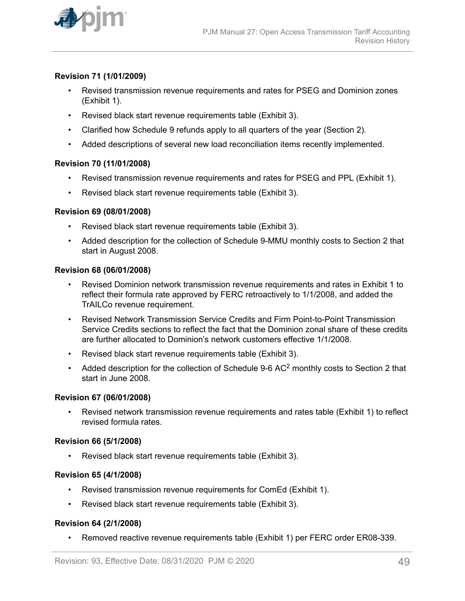

## **Revision 71 (1/01/2009)**

- Revised transmission revenue requirements and rates for PSEG and Dominion zones (Exhibit 1).
- Revised black start revenue requirements table (Exhibit 3).
- Clarified how Schedule 9 refunds apply to all quarters of the year (Section 2).
- Added descriptions of several new load reconciliation items recently implemented.

### **Revision 70 (11/01/2008)**

- Revised transmission revenue requirements and rates for PSEG and PPL (Exhibit 1).
- Revised black start revenue requirements table (Exhibit 3).

#### **Revision 69 (08/01/2008)**

- Revised black start revenue requirements table (Exhibit 3).
- Added description for the collection of Schedule 9-MMU monthly costs to Section 2 that start in August 2008.

#### **Revision 68 (06/01/2008)**

- Revised Dominion network transmission revenue requirements and rates in Exhibit 1 to reflect their formula rate approved by FERC retroactively to 1/1/2008, and added the TrAILCo revenue requirement.
- Revised Network Transmission Service Credits and Firm Point-to-Point Transmission Service Credits sections to reflect the fact that the Dominion zonal share of these credits are further allocated to Dominion's network customers effective 1/1/2008.
- Revised black start revenue requirements table (Exhibit 3).
- Added description for the collection of Schedule 9-6 AC<sup>2</sup> monthly costs to Section 2 that start in June 2008.

#### **Revision 67 (06/01/2008)**

• Revised network transmission revenue requirements and rates table (Exhibit 1) to reflect revised formula rates.

### **Revision 66 (5/1/2008)**

• Revised black start revenue requirements table (Exhibit 3).

### **Revision 65 (4/1/2008)**

- Revised transmission revenue requirements for ComEd (Exhibit 1).
- Revised black start revenue requirements table (Exhibit 3).

### **Revision 64 (2/1/2008)**

• Removed reactive revenue requirements table (Exhibit 1) per FERC order ER08-339.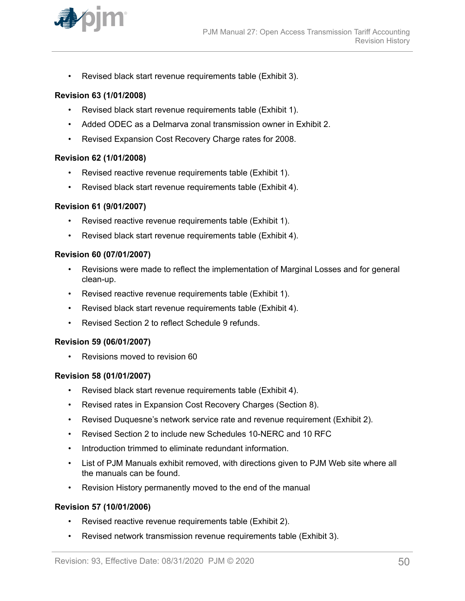

• Revised black start revenue requirements table (Exhibit 3).

### **Revision 63 (1/01/2008)**

- Revised black start revenue requirements table (Exhibit 1).
- Added ODEC as a Delmarva zonal transmission owner in Exhibit 2.
- Revised Expansion Cost Recovery Charge rates for 2008.

### **Revision 62 (1/01/2008)**

- Revised reactive revenue requirements table (Exhibit 1).
- Revised black start revenue requirements table (Exhibit 4).

### **Revision 61 (9/01/2007)**

- Revised reactive revenue requirements table (Exhibit 1).
- Revised black start revenue requirements table (Exhibit 4).

### **Revision 60 (07/01/2007)**

- Revisions were made to reflect the implementation of Marginal Losses and for general clean-up.
- Revised reactive revenue requirements table (Exhibit 1).
- Revised black start revenue requirements table (Exhibit 4).
- Revised Section 2 to reflect Schedule 9 refunds.

### **Revision 59 (06/01/2007)**

• Revisions moved to revision 60

### **Revision 58 (01/01/2007)**

- Revised black start revenue requirements table (Exhibit 4).
- Revised rates in Expansion Cost Recovery Charges (Section 8).
- Revised Duquesne's network service rate and revenue requirement (Exhibit 2).
- Revised Section 2 to include new Schedules 10-NERC and 10 RFC
- Introduction trimmed to eliminate redundant information.
- List of PJM Manuals exhibit removed, with directions given to PJM Web site where all the manuals can be found.
- Revision History permanently moved to the end of the manual

### **Revision 57 (10/01/2006)**

- Revised reactive revenue requirements table (Exhibit 2).
- Revised network transmission revenue requirements table (Exhibit 3).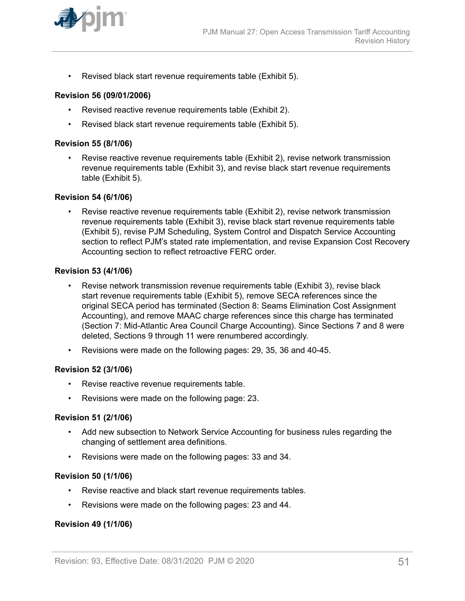

• Revised black start revenue requirements table (Exhibit 5).

### **Revision 56 (09/01/2006)**

- Revised reactive revenue requirements table (Exhibit 2).
- Revised black start revenue requirements table (Exhibit 5).

#### **Revision 55 (8/1/06)**

• Revise reactive revenue requirements table (Exhibit 2), revise network transmission revenue requirements table (Exhibit 3), and revise black start revenue requirements table (Exhibit 5).

### **Revision 54 (6/1/06)**

• Revise reactive revenue requirements table (Exhibit 2), revise network transmission revenue requirements table (Exhibit 3), revise black start revenue requirements table (Exhibit 5), revise PJM Scheduling, System Control and Dispatch Service Accounting section to reflect PJM's stated rate implementation, and revise Expansion Cost Recovery Accounting section to reflect retroactive FERC order.

### **Revision 53 (4/1/06)**

- Revise network transmission revenue requirements table (Exhibit 3), revise black start revenue requirements table (Exhibit 5), remove SECA references since the original SECA period has terminated (Section 8: Seams Elimination Cost Assignment Accounting), and remove MAAC charge references since this charge has terminated (Section 7: Mid-Atlantic Area Council Charge Accounting). Since Sections 7 and 8 were deleted, Sections 9 through 11 were renumbered accordingly.
- Revisions were made on the following pages: 29, 35, 36 and 40-45.

### **Revision 52 (3/1/06)**

- Revise reactive revenue requirements table.
- Revisions were made on the following page: 23.

### **Revision 51 (2/1/06)**

- Add new subsection to Network Service Accounting for business rules regarding the changing of settlement area definitions.
- Revisions were made on the following pages: 33 and 34.

### **Revision 50 (1/1/06)**

- Revise reactive and black start revenue requirements tables.
- Revisions were made on the following pages: 23 and 44.

### **Revision 49 (1/1/06)**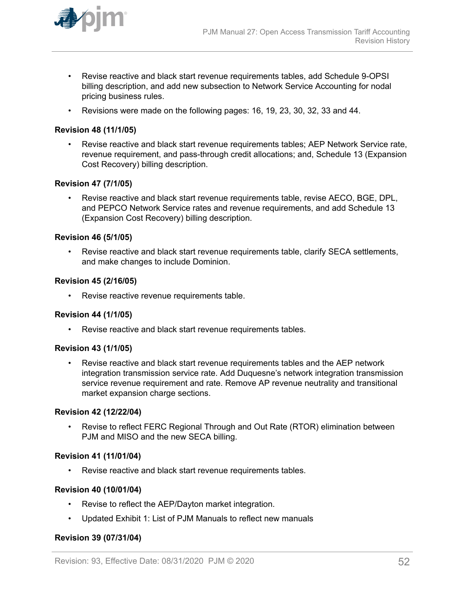

- Revise reactive and black start revenue requirements tables, add Schedule 9-OPSI billing description, and add new subsection to Network Service Accounting for nodal pricing business rules.
- Revisions were made on the following pages: 16, 19, 23, 30, 32, 33 and 44.

### **Revision 48 (11/1/05)**

• Revise reactive and black start revenue requirements tables; AEP Network Service rate, revenue requirement, and pass-through credit allocations; and, Schedule 13 (Expansion Cost Recovery) billing description.

### **Revision 47 (7/1/05)**

• Revise reactive and black start revenue requirements table, revise AECO, BGE, DPL, and PEPCO Network Service rates and revenue requirements, and add Schedule 13 (Expansion Cost Recovery) billing description.

### **Revision 46 (5/1/05)**

Revise reactive and black start revenue requirements table, clarify SECA settlements, and make changes to include Dominion.

### **Revision 45 (2/16/05)**

• Revise reactive revenue requirements table.

### **Revision 44 (1/1/05)**

• Revise reactive and black start revenue requirements tables.

### **Revision 43 (1/1/05)**

• Revise reactive and black start revenue requirements tables and the AEP network integration transmission service rate. Add Duquesne's network integration transmission service revenue requirement and rate. Remove AP revenue neutrality and transitional market expansion charge sections.

### **Revision 42 (12/22/04)**

• Revise to reflect FERC Regional Through and Out Rate (RTOR) elimination between PJM and MISO and the new SECA billing.

### **Revision 41 (11/01/04)**

• Revise reactive and black start revenue requirements tables.

### **Revision 40 (10/01/04)**

- Revise to reflect the AEP/Dayton market integration.
- Updated Exhibit 1: List of PJM Manuals to reflect new manuals

# **Revision 39 (07/31/04)**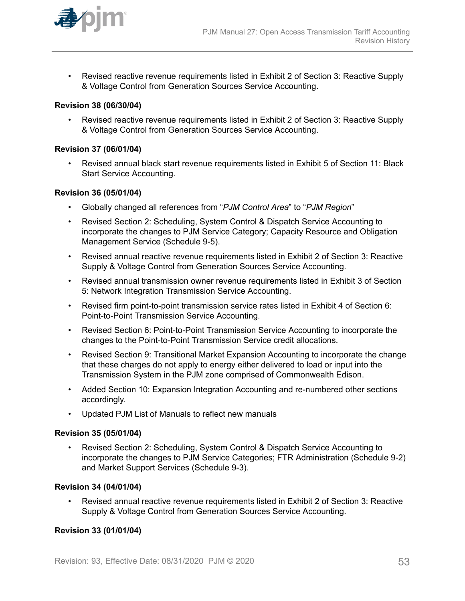

• Revised reactive revenue requirements listed in Exhibit 2 of Section 3: Reactive Supply & Voltage Control from Generation Sources Service Accounting.

### **Revision 38 (06/30/04)**

• Revised reactive revenue requirements listed in Exhibit 2 of Section 3: Reactive Supply & Voltage Control from Generation Sources Service Accounting.

### **Revision 37 (06/01/04)**

• Revised annual black start revenue requirements listed in Exhibit 5 of Section 11: Black Start Service Accounting.

### **Revision 36 (05/01/04)**

- Globally changed all references from "*PJM Control Area*" to "*PJM Region*"
- Revised Section 2: Scheduling, System Control & Dispatch Service Accounting to incorporate the changes to PJM Service Category; Capacity Resource and Obligation Management Service (Schedule 9-5).
- Revised annual reactive revenue requirements listed in Exhibit 2 of Section 3: Reactive Supply & Voltage Control from Generation Sources Service Accounting.
- Revised annual transmission owner revenue requirements listed in Exhibit 3 of Section 5: Network Integration Transmission Service Accounting.
- Revised firm point-to-point transmission service rates listed in Exhibit 4 of Section 6: Point-to-Point Transmission Service Accounting.
- Revised Section 6: Point-to-Point Transmission Service Accounting to incorporate the changes to the Point-to-Point Transmission Service credit allocations.
- Revised Section 9: Transitional Market Expansion Accounting to incorporate the change that these charges do not apply to energy either delivered to load or input into the Transmission System in the PJM zone comprised of Commonwealth Edison.
- Added Section 10: Expansion Integration Accounting and re-numbered other sections accordingly.
- Updated PJM List of Manuals to reflect new manuals

### **Revision 35 (05/01/04)**

• Revised Section 2: Scheduling, System Control & Dispatch Service Accounting to incorporate the changes to PJM Service Categories; FTR Administration (Schedule 9-2) and Market Support Services (Schedule 9-3).

### **Revision 34 (04/01/04)**

• Revised annual reactive revenue requirements listed in Exhibit 2 of Section 3: Reactive Supply & Voltage Control from Generation Sources Service Accounting.

# **Revision 33 (01/01/04)**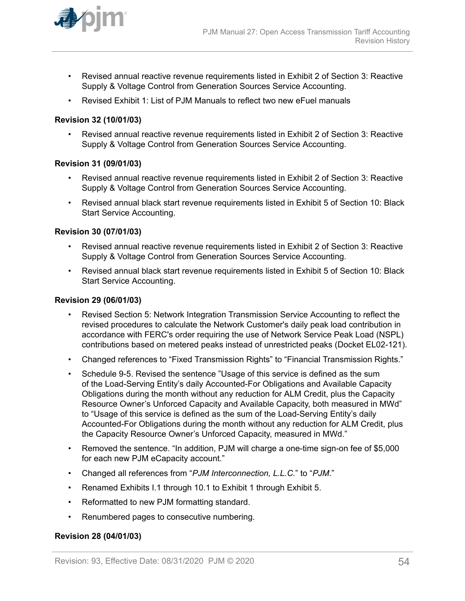

- Revised annual reactive revenue requirements listed in Exhibit 2 of Section 3: Reactive Supply & Voltage Control from Generation Sources Service Accounting.
- Revised Exhibit 1: List of PJM Manuals to reflect two new eFuel manuals

### **Revision 32 (10/01/03)**

• Revised annual reactive revenue requirements listed in Exhibit 2 of Section 3: Reactive Supply & Voltage Control from Generation Sources Service Accounting.

### **Revision 31 (09/01/03)**

- Revised annual reactive revenue requirements listed in Exhibit 2 of Section 3: Reactive Supply & Voltage Control from Generation Sources Service Accounting.
- Revised annual black start revenue requirements listed in Exhibit 5 of Section 10: Black Start Service Accounting.

### **Revision 30 (07/01/03)**

- Revised annual reactive revenue requirements listed in Exhibit 2 of Section 3: Reactive Supply & Voltage Control from Generation Sources Service Accounting.
- Revised annual black start revenue requirements listed in Exhibit 5 of Section 10: Black Start Service Accounting.

### **Revision 29 (06/01/03)**

- Revised Section 5: Network Integration Transmission Service Accounting to reflect the revised procedures to calculate the Network Customer's daily peak load contribution in accordance with FERC's order requiring the use of Network Service Peak Load (NSPL) contributions based on metered peaks instead of unrestricted peaks (Docket EL02-121).
- Changed references to "Fixed Transmission Rights" to "Financial Transmission Rights."
- Schedule 9-5. Revised the sentence "Usage of this service is defined as the sum of the Load-Serving Entity's daily Accounted-For Obligations and Available Capacity Obligations during the month without any reduction for ALM Credit, plus the Capacity Resource Owner's Unforced Capacity and Available Capacity, both measured in MWd" to "Usage of this service is defined as the sum of the Load-Serving Entity's daily Accounted-For Obligations during the month without any reduction for ALM Credit, plus the Capacity Resource Owner's Unforced Capacity, measured in MWd."
- Removed the sentence. "In addition, PJM will charge a one-time sign-on fee of \$5,000 for each new PJM eCapacity account."
- Changed all references from "*PJM Interconnection, L.L.C.*" to "*PJM*."
- Renamed Exhibits I.1 through 10.1 to Exhibit 1 through Exhibit 5.
- Reformatted to new PJM formatting standard.
- Renumbered pages to consecutive numbering.

### **Revision 28 (04/01/03)**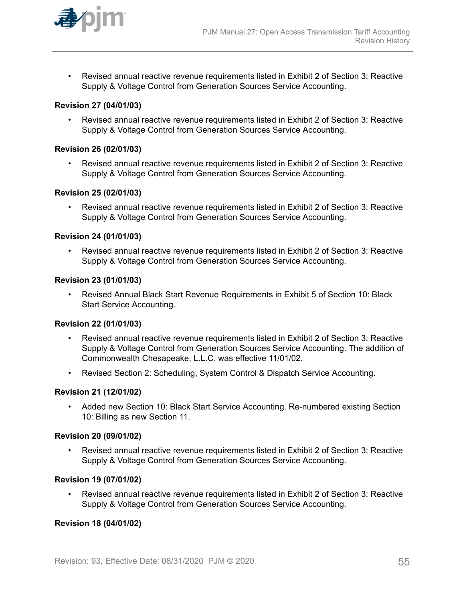

• Revised annual reactive revenue requirements listed in Exhibit 2 of Section 3: Reactive Supply & Voltage Control from Generation Sources Service Accounting.

# **Revision 27 (04/01/03)**

• Revised annual reactive revenue requirements listed in Exhibit 2 of Section 3: Reactive Supply & Voltage Control from Generation Sources Service Accounting.

### **Revision 26 (02/01/03)**

• Revised annual reactive revenue requirements listed in Exhibit 2 of Section 3: Reactive Supply & Voltage Control from Generation Sources Service Accounting.

### **Revision 25 (02/01/03)**

• Revised annual reactive revenue requirements listed in Exhibit 2 of Section 3: Reactive Supply & Voltage Control from Generation Sources Service Accounting.

### **Revision 24 (01/01/03)**

• Revised annual reactive revenue requirements listed in Exhibit 2 of Section 3: Reactive Supply & Voltage Control from Generation Sources Service Accounting.

# **Revision 23 (01/01/03)**

• Revised Annual Black Start Revenue Requirements in Exhibit 5 of Section 10: Black Start Service Accounting.

### **Revision 22 (01/01/03)**

- Revised annual reactive revenue requirements listed in Exhibit 2 of Section 3: Reactive Supply & Voltage Control from Generation Sources Service Accounting. The addition of Commonwealth Chesapeake, L.L.C. was effective 11/01/02.
- Revised Section 2: Scheduling, System Control & Dispatch Service Accounting.

# **Revision 21 (12/01/02)**

• Added new Section 10: Black Start Service Accounting. Re-numbered existing Section 10: Billing as new Section 11.

### **Revision 20 (09/01/02)**

• Revised annual reactive revenue requirements listed in Exhibit 2 of Section 3: Reactive Supply & Voltage Control from Generation Sources Service Accounting.

### **Revision 19 (07/01/02)**

• Revised annual reactive revenue requirements listed in Exhibit 2 of Section 3: Reactive Supply & Voltage Control from Generation Sources Service Accounting.

# **Revision 18 (04/01/02)**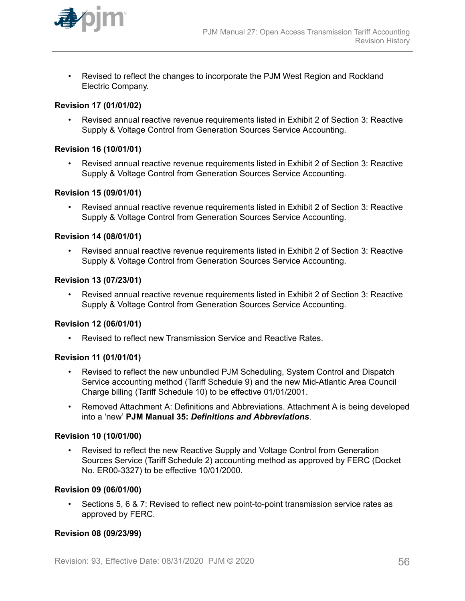

• Revised to reflect the changes to incorporate the PJM West Region and Rockland Electric Company.

# **Revision 17 (01/01/02)**

• Revised annual reactive revenue requirements listed in Exhibit 2 of Section 3: Reactive Supply & Voltage Control from Generation Sources Service Accounting.

### **Revision 16 (10/01/01)**

• Revised annual reactive revenue requirements listed in Exhibit 2 of Section 3: Reactive Supply & Voltage Control from Generation Sources Service Accounting.

### **Revision 15 (09/01/01)**

• Revised annual reactive revenue requirements listed in Exhibit 2 of Section 3: Reactive Supply & Voltage Control from Generation Sources Service Accounting.

### **Revision 14 (08/01/01)**

• Revised annual reactive revenue requirements listed in Exhibit 2 of Section 3: Reactive Supply & Voltage Control from Generation Sources Service Accounting.

# **Revision 13 (07/23/01)**

• Revised annual reactive revenue requirements listed in Exhibit 2 of Section 3: Reactive Supply & Voltage Control from Generation Sources Service Accounting.

### **Revision 12 (06/01/01)**

• Revised to reflect new Transmission Service and Reactive Rates.

### **Revision 11 (01/01/01)**

- Revised to reflect the new unbundled PJM Scheduling, System Control and Dispatch Service accounting method (Tariff Schedule 9) and the new Mid-Atlantic Area Council Charge billing (Tariff Schedule 10) to be effective 01/01/2001.
- Removed Attachment A: Definitions and Abbreviations. Attachment A is being developed into a 'new' **PJM Manual 35:** *Definitions and Abbreviations*.

### **Revision 10 (10/01/00)**

• Revised to reflect the new Reactive Supply and Voltage Control from Generation Sources Service (Tariff Schedule 2) accounting method as approved by FERC (Docket No. ER00-3327) to be effective 10/01/2000.

### **Revision 09 (06/01/00)**

• Sections 5, 6 & 7: Revised to reflect new point-to-point transmission service rates as approved by FERC.

### **Revision 08 (09/23/99)**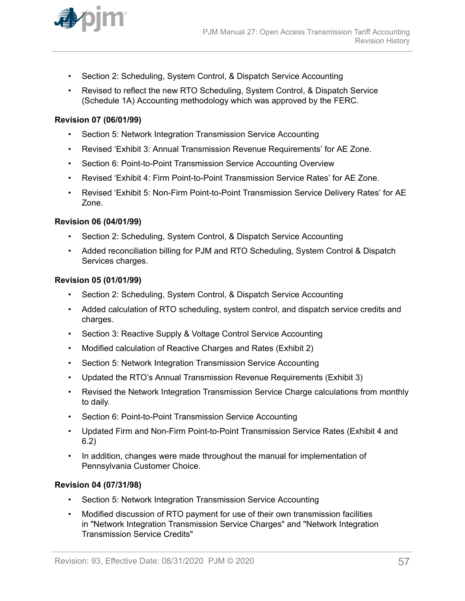

- Section 2: Scheduling, System Control, & Dispatch Service Accounting
- Revised to reflect the new RTO Scheduling, System Control, & Dispatch Service (Schedule 1A) Accounting methodology which was approved by the FERC.

### **Revision 07 (06/01/99)**

- Section 5: Network Integration Transmission Service Accounting
- Revised 'Exhibit 3: Annual Transmission Revenue Requirements' for AE Zone.
- Section 6: Point-to-Point Transmission Service Accounting Overview
- Revised 'Exhibit 4: Firm Point-to-Point Transmission Service Rates' for AE Zone.
- Revised 'Exhibit 5: Non-Firm Point-to-Point Transmission Service Delivery Rates' for AE Zone.

### **Revision 06 (04/01/99)**

- Section 2: Scheduling, System Control, & Dispatch Service Accounting
- Added reconciliation billing for PJM and RTO Scheduling, System Control & Dispatch Services charges.

### **Revision 05 (01/01/99)**

- Section 2: Scheduling, System Control, & Dispatch Service Accounting
- Added calculation of RTO scheduling, system control, and dispatch service credits and charges.
- Section 3: Reactive Supply & Voltage Control Service Accounting
- Modified calculation of Reactive Charges and Rates (Exhibit 2)
- Section 5: Network Integration Transmission Service Accounting
- Updated the RTO's Annual Transmission Revenue Requirements (Exhibit 3)
- Revised the Network Integration Transmission Service Charge calculations from monthly to daily.
- Section 6: Point-to-Point Transmission Service Accounting
- Updated Firm and Non-Firm Point-to-Point Transmission Service Rates (Exhibit 4 and 6.2)
- In addition, changes were made throughout the manual for implementation of Pennsylvania Customer Choice.

### **Revision 04 (07/31/98)**

- Section 5: Network Integration Transmission Service Accounting
- Modified discussion of RTO payment for use of their own transmission facilities in "Network Integration Transmission Service Charges" and "Network Integration Transmission Service Credits"